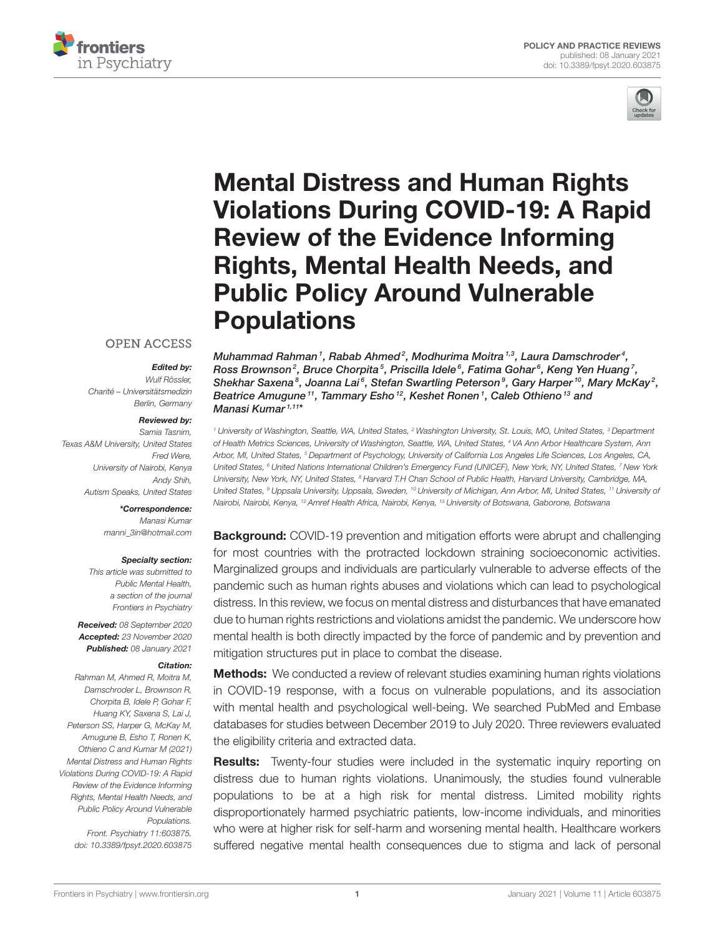



# Mental Distress and Human Rights [Violations During COVID-19: A Rapid](https://www.frontiersin.org/articles/10.3389/fpsyt.2020.603875/full) Review of the Evidence Informing Rights, Mental Health Needs, and Public Policy Around Vulnerable **Populations**

#### **OPEN ACCESS**

#### Edited by:

Wulf Rössler, Charité – Universitätsmedizin Berlin, Germany

#### Reviewed by:

Samia Tasnim, Texas A&M University, United States Fred Were, University of Nairobi, Kenya Andy Shih, Autism Speaks, United States

#### \*Correspondence: Manasi Kumar [manni\\_3in@hotmail.com](mailto:manni_3in@hotmail.com)

Specialty section:

This article was submitted to Public Mental Health, a section of the journal Frontiers in Psychiatry

Received: 08 September 2020 Accepted: 23 November 2020 Published: 08 January 2021

#### Citation:

Rahman M, Ahmed R, Moitra M, Damschroder L, Brownson R, Chorpita B, Idele P, Gohar F, Huang KY, Saxena S, Lai J, Peterson SS, Harper G, McKay M, Amugune B, Esho T, Ronen K, Othieno C and Kumar M (2021) Mental Distress and Human Rights Violations During COVID-19: A Rapid Review of the Evidence Informing Rights, Mental Health Needs, and Public Policy Around Vulnerable Populations. Front. Psychiatry 11:603875. doi: [10.3389/fpsyt.2020.603875](https://doi.org/10.3389/fpsyt.2020.603875) Muhammad Rahman $^1$ , Rabab Ahmed $^2$ , Modhurima Moitra $^{\text{\tiny 1,3}}$ , Laura Damschroder $^4$ , Ross Brownson $^2$ , Bruce Chorpita $^5$ , Priscilla Idele $^6$ , Fatima Gohar $^6$ , Keng Yen Huang $^7\!$ , Shekhar Saxena $^8$ , Joanna Lai $^6$ , Stefan Swartling Peterson $^9$ , Gary Harper $^{10}$ , Mary McKay $^2$ , Beatrice Amugune<sup>11</sup>, Tammary Esho<sup>12</sup>, Keshet Ronen<sup>1</sup>, Caleb Othieno<sup>13</sup> and Manasi Kumar 1,11 \*

<sup>1</sup> University of Washington, Seattle, WA, United States, <sup>2</sup> Washington University, St. Louis, MO, United States, <sup>3</sup> Department of Health Metrics Sciences, University of Washington, Seattle, WA, United States, <sup>4</sup> VA Ann Arbor Healthcare System, Ann Arbor, MI, United States, <sup>5</sup> Department of Psychology, University of California Los Angeles Life Sciences, Los Angeles, CA, United States, <sup>6</sup> United Nations International Children's Emergency Fund (UNICEF), New York, NY, United States, <sup>7</sup> New York University, New York, NY, United States, <sup>8</sup> Harvard T.H Chan School of Public Health, Harvard University, Cambridge, MA, United States, <sup>9</sup> Uppsala University, Uppsala, Sweden, <sup>10</sup> University of Michigan, Ann Arbor, MI, United States, <sup>11</sup> University of Nairobi, Nairobi, Kenya, <sup>12</sup> Amref Health Africa, Nairobi, Kenya, <sup>13</sup> University of Botswana, Gaborone, Botswana

**Background:** COVID-19 prevention and mitigation efforts were abrupt and challenging for most countries with the protracted lockdown straining socioeconomic activities. Marginalized groups and individuals are particularly vulnerable to adverse effects of the pandemic such as human rights abuses and violations which can lead to psychological distress. In this review, we focus on mental distress and disturbances that have emanated due to human rights restrictions and violations amidst the pandemic. We underscore how mental health is both directly impacted by the force of pandemic and by prevention and mitigation structures put in place to combat the disease.

**Methods:** We conducted a review of relevant studies examining human rights violations in COVID-19 response, with a focus on vulnerable populations, and its association with mental health and psychological well-being. We searched PubMed and Embase databases for studies between December 2019 to July 2020. Three reviewers evaluated the eligibility criteria and extracted data.

Results: Twenty-four studies were included in the systematic inquiry reporting on distress due to human rights violations. Unanimously, the studies found vulnerable populations to be at a high risk for mental distress. Limited mobility rights disproportionately harmed psychiatric patients, low-income individuals, and minorities who were at higher risk for self-harm and worsening mental health. Healthcare workers suffered negative mental health consequences due to stigma and lack of personal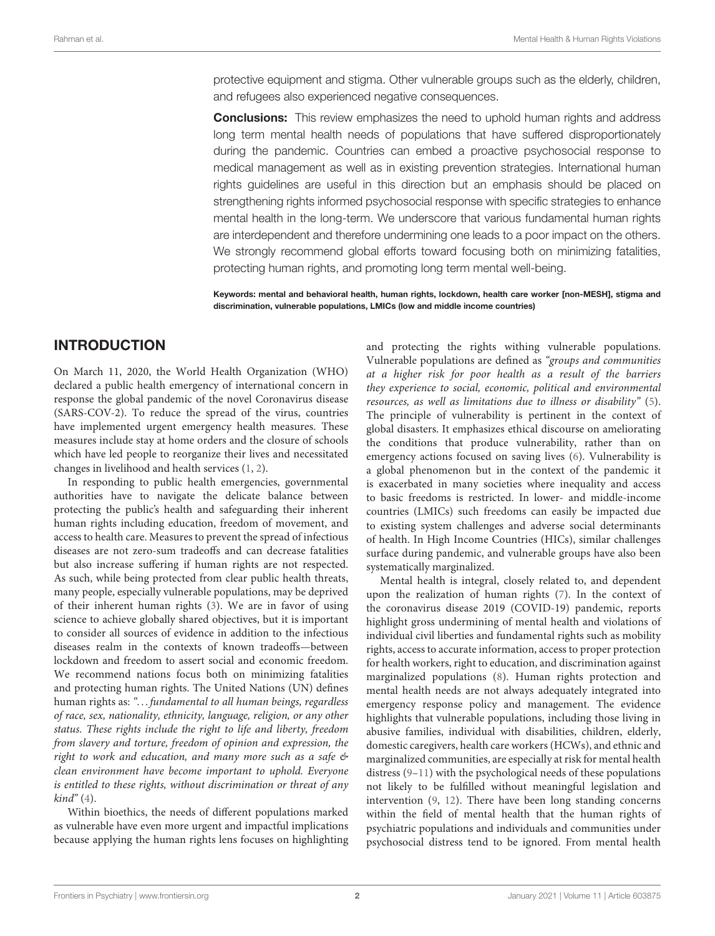protective equipment and stigma. Other vulnerable groups such as the elderly, children, and refugees also experienced negative consequences.

**Conclusions:** This review emphasizes the need to uphold human rights and address long term mental health needs of populations that have suffered disproportionately during the pandemic. Countries can embed a proactive psychosocial response to medical management as well as in existing prevention strategies. International human rights guidelines are useful in this direction but an emphasis should be placed on strengthening rights informed psychosocial response with specific strategies to enhance mental health in the long-term. We underscore that various fundamental human rights are interdependent and therefore undermining one leads to a poor impact on the others. We strongly recommend global efforts toward focusing both on minimizing fatalities, protecting human rights, and promoting long term mental well-being.

Keywords: mental and behavioral health, human rights, lockdown, health care worker [non-MESH], stigma and discrimination, vulnerable populations, LMICs (low and middle income countries)

#### INTRODUCTION

On March 11, 2020, the World Health Organization (WHO) declared a public health emergency of international concern in response the global pandemic of the novel Coronavirus disease (SARS-COV-2). To reduce the spread of the virus, countries have implemented urgent emergency health measures. These measures include stay at home orders and the closure of schools which have led people to reorganize their lives and necessitated changes in livelihood and health services [\(1,](#page-16-0) [2\)](#page-16-1).

In responding to public health emergencies, governmental authorities have to navigate the delicate balance between protecting the public's health and safeguarding their inherent human rights including education, freedom of movement, and access to health care. Measures to prevent the spread of infectious diseases are not zero-sum tradeoffs and can decrease fatalities but also increase suffering if human rights are not respected. As such, while being protected from clear public health threats, many people, especially vulnerable populations, may be deprived of their inherent human rights [\(3\)](#page-16-2). We are in favor of using science to achieve globally shared objectives, but it is important to consider all sources of evidence in addition to the infectious diseases realm in the contexts of known tradeoffs—between lockdown and freedom to assert social and economic freedom. We recommend nations focus both on minimizing fatalities and protecting human rights. The United Nations (UN) defines human rights as: "... fundamental to all human beings, regardless of race, sex, nationality, ethnicity, language, religion, or any other status. These rights include the right to life and liberty, freedom from slavery and torture, freedom of opinion and expression, the right to work and education, and many more such as a safe & clean environment have become important to uphold. Everyone is entitled to these rights, without discrimination or threat of any  $\text{kind}^{\prime\prime}(4)$  $\text{kind}^{\prime\prime}(4)$ .

Within bioethics, the needs of different populations marked as vulnerable have even more urgent and impactful implications because applying the human rights lens focuses on highlighting and protecting the rights withing vulnerable populations. Vulnerable populations are defined as "groups and communities at a higher risk for poor health as a result of the barriers they experience to social, economic, political and environmental resources, as well as limitations due to illness or disability" [\(5\)](#page-16-4). The principle of vulnerability is pertinent in the context of global disasters. It emphasizes ethical discourse on ameliorating the conditions that produce vulnerability, rather than on emergency actions focused on saving lives [\(6\)](#page-16-5). Vulnerability is a global phenomenon but in the context of the pandemic it is exacerbated in many societies where inequality and access to basic freedoms is restricted. In lower- and middle-income countries (LMICs) such freedoms can easily be impacted due to existing system challenges and adverse social determinants of health. In High Income Countries (HICs), similar challenges surface during pandemic, and vulnerable groups have also been systematically marginalized.

Mental health is integral, closely related to, and dependent upon the realization of human rights [\(7\)](#page-16-6). In the context of the coronavirus disease 2019 (COVID-19) pandemic, reports highlight gross undermining of mental health and violations of individual civil liberties and fundamental rights such as mobility rights, access to accurate information, access to proper protection for health workers, right to education, and discrimination against marginalized populations [\(8\)](#page-16-7). Human rights protection and mental health needs are not always adequately integrated into emergency response policy and management. The evidence highlights that vulnerable populations, including those living in abusive families, individual with disabilities, children, elderly, domestic caregivers, health care workers (HCWs), and ethnic and marginalized communities, are especially at risk for mental health distress [\(9](#page-16-8)[–11\)](#page-16-9) with the psychological needs of these populations not likely to be fulfilled without meaningful legislation and intervention [\(9,](#page-16-8) [12\)](#page-16-10). There have been long standing concerns within the field of mental health that the human rights of psychiatric populations and individuals and communities under psychosocial distress tend to be ignored. From mental health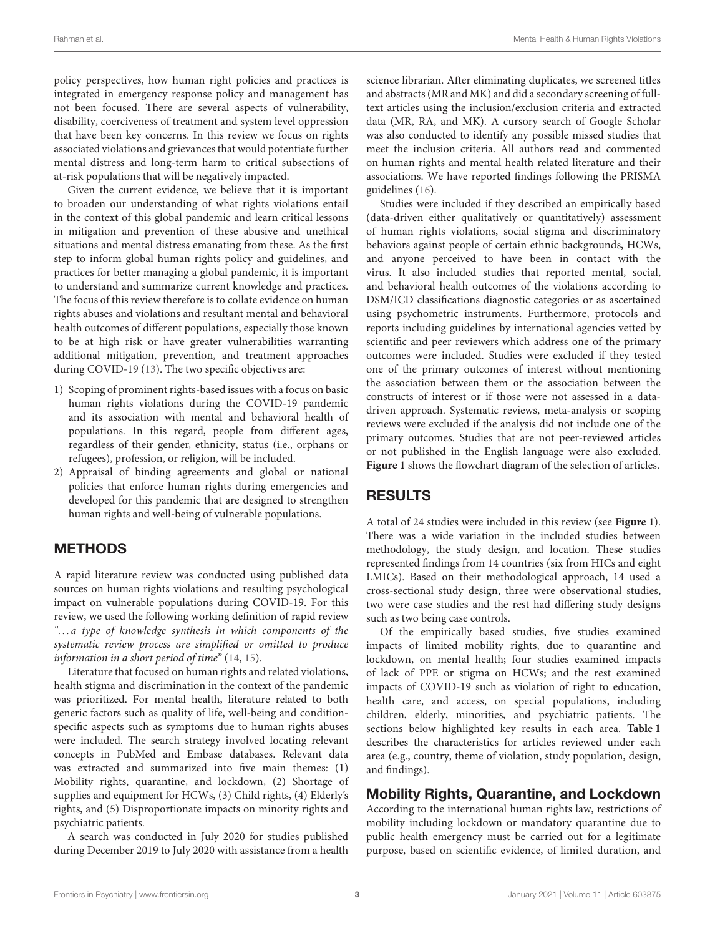policy perspectives, how human right policies and practices is integrated in emergency response policy and management has not been focused. There are several aspects of vulnerability, disability, coerciveness of treatment and system level oppression that have been key concerns. In this review we focus on rights associated violations and grievances that would potentiate further mental distress and long-term harm to critical subsections of at-risk populations that will be negatively impacted.

Given the current evidence, we believe that it is important to broaden our understanding of what rights violations entail in the context of this global pandemic and learn critical lessons in mitigation and prevention of these abusive and unethical situations and mental distress emanating from these. As the first step to inform global human rights policy and guidelines, and practices for better managing a global pandemic, it is important to understand and summarize current knowledge and practices. The focus of this review therefore is to collate evidence on human rights abuses and violations and resultant mental and behavioral health outcomes of different populations, especially those known to be at high risk or have greater vulnerabilities warranting additional mitigation, prevention, and treatment approaches during COVID-19 [\(13\)](#page-16-11). The two specific objectives are:

- 1) Scoping of prominent rights-based issues with a focus on basic human rights violations during the COVID-19 pandemic and its association with mental and behavioral health of populations. In this regard, people from different ages, regardless of their gender, ethnicity, status (i.e., orphans or refugees), profession, or religion, will be included.
- 2) Appraisal of binding agreements and global or national policies that enforce human rights during emergencies and developed for this pandemic that are designed to strengthen human rights and well-being of vulnerable populations.

## METHODS

A rapid literature review was conducted using published data sources on human rights violations and resulting psychological impact on vulnerable populations during COVID-19. For this review, we used the following working definition of rapid review ". . . a type of knowledge synthesis in which components of the systematic review process are simplified or omitted to produce information in a short period of time" [\(14,](#page-16-12) [15\)](#page-16-13).

Literature that focused on human rights and related violations, health stigma and discrimination in the context of the pandemic was prioritized. For mental health, literature related to both generic factors such as quality of life, well-being and conditionspecific aspects such as symptoms due to human rights abuses were included. The search strategy involved locating relevant concepts in PubMed and Embase databases. Relevant data was extracted and summarized into five main themes: (1) Mobility rights, quarantine, and lockdown, (2) Shortage of supplies and equipment for HCWs, (3) Child rights, (4) Elderly's rights, and (5) Disproportionate impacts on minority rights and psychiatric patients.

A search was conducted in July 2020 for studies published during December 2019 to July 2020 with assistance from a health science librarian. After eliminating duplicates, we screened titles and abstracts (MR and MK) and did a secondary screening of fulltext articles using the inclusion/exclusion criteria and extracted data (MR, RA, and MK). A cursory search of Google Scholar was also conducted to identify any possible missed studies that meet the inclusion criteria. All authors read and commented on human rights and mental health related literature and their associations. We have reported findings following the PRISMA guidelines [\(16\)](#page-16-14).

Studies were included if they described an empirically based (data-driven either qualitatively or quantitatively) assessment of human rights violations, social stigma and discriminatory behaviors against people of certain ethnic backgrounds, HCWs, and anyone perceived to have been in contact with the virus. It also included studies that reported mental, social, and behavioral health outcomes of the violations according to DSM/ICD classifications diagnostic categories or as ascertained using psychometric instruments. Furthermore, protocols and reports including guidelines by international agencies vetted by scientific and peer reviewers which address one of the primary outcomes were included. Studies were excluded if they tested one of the primary outcomes of interest without mentioning the association between them or the association between the constructs of interest or if those were not assessed in a datadriven approach. Systematic reviews, meta-analysis or scoping reviews were excluded if the analysis did not include one of the primary outcomes. Studies that are not peer-reviewed articles or not published in the English language were also excluded. **[Figure 1](#page-3-0)** shows the flowchart diagram of the selection of articles.

## RESULTS

A total of 24 studies were included in this review (see **[Figure 1](#page-3-0)**). There was a wide variation in the included studies between methodology, the study design, and location. These studies represented findings from 14 countries (six from HICs and eight LMICs). Based on their methodological approach, 14 used a cross-sectional study design, three were observational studies, two were case studies and the rest had differing study designs such as two being case controls.

Of the empirically based studies, five studies examined impacts of limited mobility rights, due to quarantine and lockdown, on mental health; four studies examined impacts of lack of PPE or stigma on HCWs; and the rest examined impacts of COVID-19 such as violation of right to education, health care, and access, on special populations, including children, elderly, minorities, and psychiatric patients. The sections below highlighted key results in each area. **[Table 1](#page-4-0)** describes the characteristics for articles reviewed under each area (e.g., country, theme of violation, study population, design, and findings).

## Mobility Rights, Quarantine, and Lockdown

According to the international human rights law, restrictions of mobility including lockdown or mandatory quarantine due to public health emergency must be carried out for a legitimate purpose, based on scientific evidence, of limited duration, and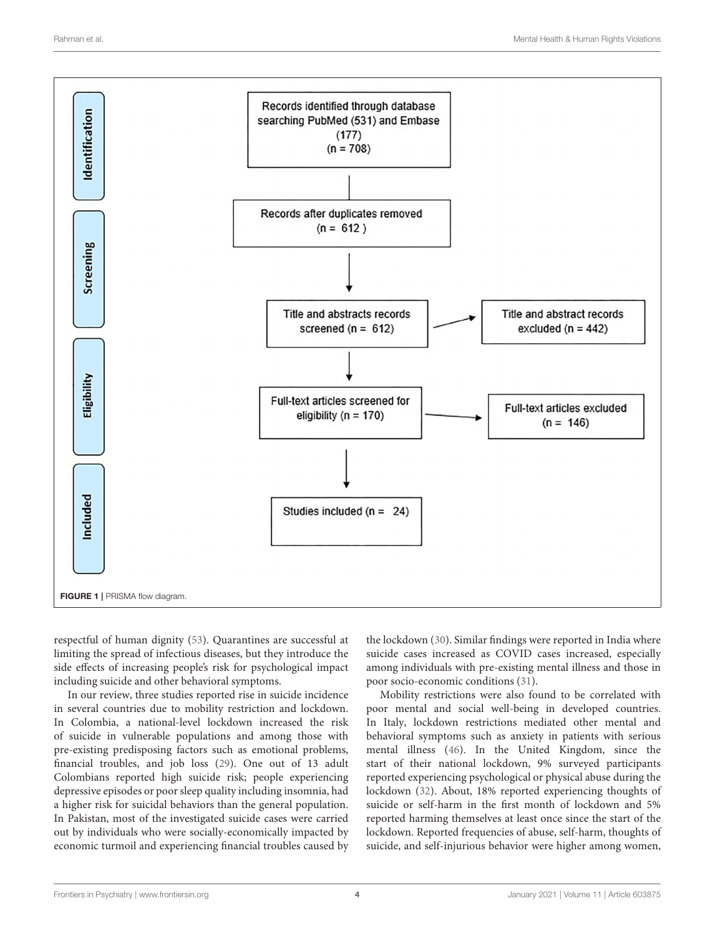

<span id="page-3-0"></span>respectful of human dignity [\(53\)](#page-17-0). Quarantines are successful at limiting the spread of infectious diseases, but they introduce the side effects of increasing people's risk for psychological impact including suicide and other behavioral symptoms.

In our review, three studies reported rise in suicide incidence in several countries due to mobility restriction and lockdown. In Colombia, a national-level lockdown increased the risk of suicide in vulnerable populations and among those with pre-existing predisposing factors such as emotional problems, financial troubles, and job loss [\(29\)](#page-16-15). One out of 13 adult Colombians reported high suicide risk; people experiencing depressive episodes or poor sleep quality including insomnia, had a higher risk for suicidal behaviors than the general population. In Pakistan, most of the investigated suicide cases were carried out by individuals who were socially-economically impacted by economic turmoil and experiencing financial troubles caused by the lockdown [\(30\)](#page-16-16). Similar findings were reported in India where suicide cases increased as COVID cases increased, especially among individuals with pre-existing mental illness and those in poor socio-economic conditions [\(31\)](#page-16-17).

Mobility restrictions were also found to be correlated with poor mental and social well-being in developed countries. In Italy, lockdown restrictions mediated other mental and behavioral symptoms such as anxiety in patients with serious mental illness [\(46\)](#page-17-1). In the United Kingdom, since the start of their national lockdown, 9% surveyed participants reported experiencing psychological or physical abuse during the lockdown [\(32\)](#page-16-18). About, 18% reported experiencing thoughts of suicide or self-harm in the first month of lockdown and 5% reported harming themselves at least once since the start of the lockdown. Reported frequencies of abuse, self-harm, thoughts of suicide, and self-injurious behavior were higher among women,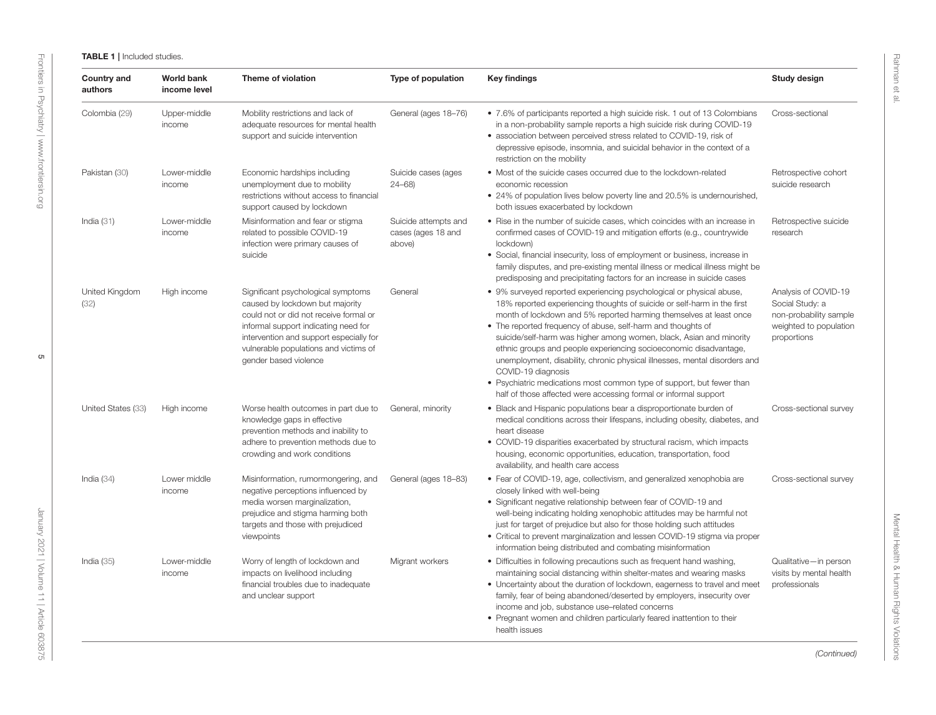| <b>Country and</b><br>authors | <b>World bank</b><br>income level | Theme of violation                                                                                                                                                                                                                                                   | Type of population                                   | <b>Key findings</b>                                                                                                                                                                                                                                                                                                                                                                                                                                                                                                                                                                                                                                                                | Study design                                                                                               |
|-------------------------------|-----------------------------------|----------------------------------------------------------------------------------------------------------------------------------------------------------------------------------------------------------------------------------------------------------------------|------------------------------------------------------|------------------------------------------------------------------------------------------------------------------------------------------------------------------------------------------------------------------------------------------------------------------------------------------------------------------------------------------------------------------------------------------------------------------------------------------------------------------------------------------------------------------------------------------------------------------------------------------------------------------------------------------------------------------------------------|------------------------------------------------------------------------------------------------------------|
| Colombia (29)                 | Upper-middle<br>income            | Mobility restrictions and lack of<br>adequate resources for mental health<br>support and suicide intervention                                                                                                                                                        | General (ages 18-76)                                 | • 7.6% of participants reported a high suicide risk. 1 out of 13 Colombians<br>in a non-probability sample reports a high suicide risk during COVID-19<br>• association between perceived stress related to COVID-19, risk of<br>depressive episode, insomnia, and suicidal behavior in the context of a<br>restriction on the mobility                                                                                                                                                                                                                                                                                                                                            | Cross-sectional                                                                                            |
| Pakistan (30)                 | Lower-middle<br>income            | Economic hardships including<br>unemployment due to mobility<br>restrictions without access to financial<br>support caused by lockdown                                                                                                                               | Suicide cases (ages<br>$24 - 68$                     | • Most of the suicide cases occurred due to the lockdown-related<br>economic recession<br>• 24% of population lives below poverty line and 20.5% is undernourished,<br>both issues exacerbated by lockdown                                                                                                                                                                                                                                                                                                                                                                                                                                                                         | Retrospective cohort<br>suicide research                                                                   |
| India $(31)$                  | Lower-middle<br>income            | Misinformation and fear or stigma<br>related to possible COVID-19<br>infection were primary causes of<br>suicide                                                                                                                                                     | Suicide attempts and<br>cases (ages 18 and<br>above) | • Rise in the number of suicide cases, which coincides with an increase in<br>confirmed cases of COVID-19 and mitigation efforts (e.g., countrywide<br>lockdown)<br>• Social, financial insecurity, loss of employment or business, increase in<br>family disputes, and pre-existing mental illness or medical illness might be<br>predisposing and precipitating factors for an increase in suicide cases                                                                                                                                                                                                                                                                         | Retrospective suicide<br>research                                                                          |
| United Kingdom<br>(32)        | High income                       | Significant psychological symptoms<br>caused by lockdown but majority<br>could not or did not receive formal or<br>informal support indicating need for<br>intervention and support especially for<br>vulnerable populations and victims of<br>gender based violence | General                                              | • 9% surveyed reported experiencing psychological or physical abuse,<br>18% reported experiencing thoughts of suicide or self-harm in the first<br>month of lockdown and 5% reported harming themselves at least once<br>• The reported frequency of abuse, self-harm and thoughts of<br>suicide/self-harm was higher among women, black, Asian and minority<br>ethnic groups and people experiencing socioeconomic disadvantage,<br>unemployment, disability, chronic physical illnesses, mental disorders and<br>COVID-19 diagnosis<br>• Psychiatric medications most common type of support, but fewer than<br>half of those affected were accessing formal or informal support | Analysis of COVID-19<br>Social Study: a<br>non-probability sample<br>weighted to population<br>proportions |
| United States (33)            | High income                       | Worse health outcomes in part due to<br>knowledge gaps in effective<br>prevention methods and inability to<br>adhere to prevention methods due to<br>crowding and work conditions                                                                                    | General, minority                                    | • Black and Hispanic populations bear a disproportionate burden of<br>medical conditions across their lifespans, including obesity, diabetes, and<br>heart disease<br>• COVID-19 disparities exacerbated by structural racism, which impacts<br>housing, economic opportunities, education, transportation, food<br>availability, and health care access                                                                                                                                                                                                                                                                                                                           | Cross-sectional survey                                                                                     |
| India $(34)$                  | Lower middle<br>income            | Misinformation, rumormongering, and<br>negative perceptions influenced by<br>media worsen marginalization,<br>prejudice and stigma harming both<br>targets and those with prejudiced<br>viewpoints                                                                   | General (ages 18-83)                                 | • Fear of COVID-19, age, collectivism, and generalized xenophobia are<br>closely linked with well-being<br>• Significant negative relationship between fear of COVID-19 and<br>well-being indicating holding xenophobic attitudes may be harmful not<br>just for target of prejudice but also for those holding such attitudes<br>• Critical to prevent marginalization and lessen COVID-19 stigma via proper<br>information being distributed and combating misinformation                                                                                                                                                                                                        | Cross-sectional survey                                                                                     |
| India $(35)$                  | Lower-middle<br>income            | Worry of length of lockdown and<br>impacts on livelihood including<br>financial troubles due to inadequate<br>and unclear support                                                                                                                                    | Migrant workers                                      | • Difficulties in following precautions such as frequent hand washing,<br>maintaining social distancing within shelter-mates and wearing masks<br>• Uncertainty about the duration of lockdown, eagerness to travel and meet<br>family, fear of being abandoned/deserted by employers, insecurity over<br>income and job, substance use-related concerns<br>• Pregnant women and children particularly feared inattention to their<br>health issues                                                                                                                                                                                                                                | Qualitative-in person<br>visits by mental health<br>professionals                                          |

<span id="page-4-0"></span>Mental Health & Human Rights Violations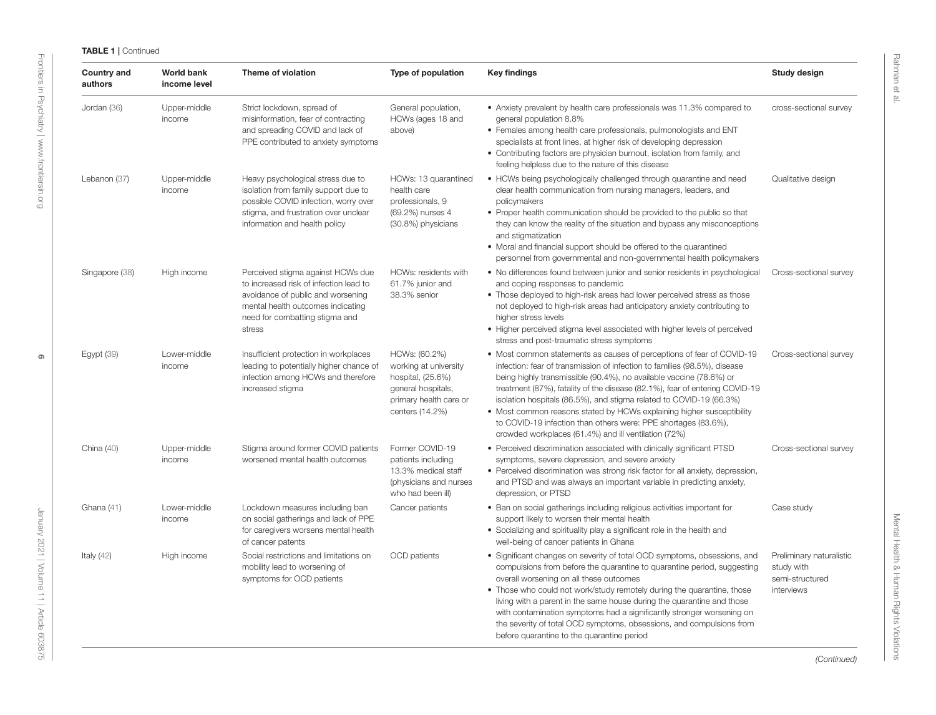| <b>Country and</b><br>authors | <b>World bank</b><br>income level | Theme of violation                                                                                                                                                                                | Type of population                                                                                                             | <b>Key findings</b>                                                                                                                                                                                                                                                                                                                                                                                                                                                                                                                                                                | Study design                                                            |
|-------------------------------|-----------------------------------|---------------------------------------------------------------------------------------------------------------------------------------------------------------------------------------------------|--------------------------------------------------------------------------------------------------------------------------------|------------------------------------------------------------------------------------------------------------------------------------------------------------------------------------------------------------------------------------------------------------------------------------------------------------------------------------------------------------------------------------------------------------------------------------------------------------------------------------------------------------------------------------------------------------------------------------|-------------------------------------------------------------------------|
| Jordan (36)                   | Upper-middle<br>income            | Strict lockdown, spread of<br>misinformation, fear of contracting<br>and spreading COVID and lack of<br>PPE contributed to anxiety symptoms                                                       | General population,<br>HCWs (ages 18 and<br>above)                                                                             | • Anxiety prevalent by health care professionals was 11.3% compared to<br>general population 8.8%<br>• Females among health care professionals, pulmonologists and ENT<br>specialists at front lines, at higher risk of developing depression<br>• Contributing factors are physician burnout, isolation from family, and<br>feeling helpless due to the nature of this disease                                                                                                                                                                                                    | cross-sectional survey                                                  |
| Lebanon (37)                  | Upper-middle<br>income            | Heavy psychological stress due to<br>isolation from family support due to<br>possible COVID infection, worry over<br>stigma, and frustration over unclear<br>information and health policy        | HCWs: 13 quarantined<br>health care<br>professionals, 9<br>(69.2%) nurses 4<br>(30.8%) physicians                              | • HCWs being psychologically challenged through quarantine and need<br>clear health communication from nursing managers, leaders, and<br>policymakers<br>• Proper health communication should be provided to the public so that<br>they can know the reality of the situation and bypass any misconceptions<br>and stigmatization<br>• Moral and financial support should be offered to the quarantined<br>personnel from governmental and non-governmental health policymakers                                                                                                    | Qualitative design                                                      |
| Singapore (38)                | High income                       | Perceived stigma against HCWs due<br>to increased risk of infection lead to<br>avoidance of public and worsening<br>mental health outcomes indicating<br>need for combatting stigma and<br>stress | HCWs: residents with<br>61.7% junior and<br>38.3% senior                                                                       | • No differences found between junior and senior residents in psychological<br>and coping responses to pandemic<br>• Those deployed to high-risk areas had lower perceived stress as those<br>not deployed to high-risk areas had anticipatory anxiety contributing to<br>higher stress levels<br>• Higher perceived stigma level associated with higher levels of perceived<br>stress and post-traumatic stress symptoms                                                                                                                                                          | Cross-sectional survey                                                  |
| Egypt $(39)$                  | Lower-middle<br>income            | Insufficient protection in workplaces<br>leading to potentially higher chance of<br>infection among HCWs and therefore<br>increased stigma                                                        | HCWs: (60.2%)<br>working at university<br>hospital, (25.6%)<br>general hospitals,<br>primary health care or<br>centers (14.2%) | • Most common statements as causes of perceptions of fear of COVID-19<br>infection: fear of transmission of infection to families (98.5%), disease<br>being highly transmissible (90.4%), no available vaccine (78.6%) or<br>treatment (87%), fatality of the disease (82.1%), fear of entering COVID-19<br>isolation hospitals (86.5%), and stigma related to COVID-19 (66.3%)<br>• Most common reasons stated by HCWs explaining higher susceptibility<br>to COVID-19 infection than others were: PPE shortages (83.6%),<br>crowded workplaces (61.4%) and ill ventilation (72%) | Cross-sectional survey                                                  |
| China $(40)$                  | Upper-middle<br>income            | Stigma around former COVID patients<br>worsened mental health outcomes                                                                                                                            | Former COVID-19<br>patients including<br>13.3% medical staff<br>(physicians and nurses<br>who had been ill)                    | • Perceived discrimination associated with clinically significant PTSD<br>symptoms, severe depression, and severe anxiety<br>• Perceived discrimination was strong risk factor for all anxiety, depression,<br>and PTSD and was always an important variable in predicting anxiety,<br>depression, or PTSD                                                                                                                                                                                                                                                                         | Cross-sectional survey                                                  |
| Ghana (41)                    | Lower-middle<br>income            | Lockdown measures including ban<br>on social gatherings and lack of PPE<br>for caregivers worsens mental health<br>of cancer patents                                                              | Cancer patients                                                                                                                | • Ban on social gatherings including religious activities important for<br>support likely to worsen their mental health<br>• Socializing and spirituality play a significant role in the health and<br>well-being of cancer patients in Ghana                                                                                                                                                                                                                                                                                                                                      | Case study                                                              |
| Italy $(42)$                  | High income                       | Social restrictions and limitations on<br>mobility lead to worsening of<br>symptoms for OCD patients                                                                                              | <b>OCD</b> patients                                                                                                            | • Significant changes on severity of total OCD symptoms, obsessions, and<br>compulsions from before the quarantine to quarantine period, suggesting<br>overall worsening on all these outcomes<br>• Those who could not work/study remotely during the quarantine, those<br>living with a parent in the same house during the quarantine and those<br>with contamination symptoms had a significantly stronger worsening on<br>the severity of total OCD symptoms, obsessions, and compulsions from<br>before quarantine to the quarantine period                                  | Preliminary naturalistic<br>study with<br>semi-structured<br>interviews |

(Continued)

Mental Health & Human Rights Violations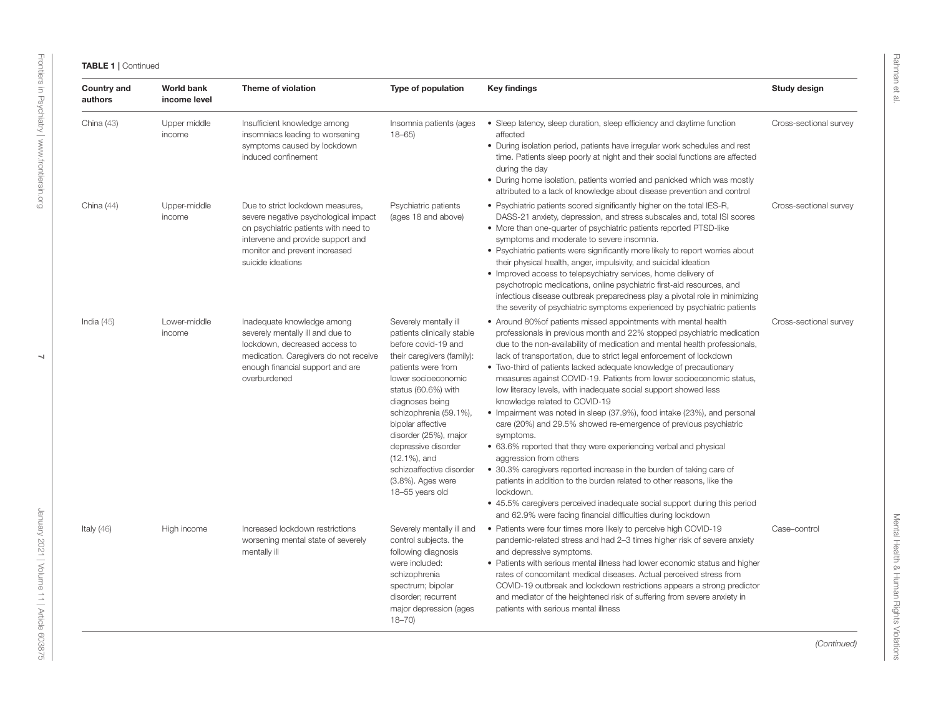| Country and<br>authors | <b>World bank</b><br>income level | Theme of violation                                                                                                                                                                                          | Type of population                                                                                                                                                                                                                                                                                                                                                                     | <b>Key findings</b>                                                                                                                                                                                                                                                                                                                                                                                                                                                                                                                                                                                                                                                                                                                                                                                                                                                                                                                                                                                                                                                                                                    | Study design           |
|------------------------|-----------------------------------|-------------------------------------------------------------------------------------------------------------------------------------------------------------------------------------------------------------|----------------------------------------------------------------------------------------------------------------------------------------------------------------------------------------------------------------------------------------------------------------------------------------------------------------------------------------------------------------------------------------|------------------------------------------------------------------------------------------------------------------------------------------------------------------------------------------------------------------------------------------------------------------------------------------------------------------------------------------------------------------------------------------------------------------------------------------------------------------------------------------------------------------------------------------------------------------------------------------------------------------------------------------------------------------------------------------------------------------------------------------------------------------------------------------------------------------------------------------------------------------------------------------------------------------------------------------------------------------------------------------------------------------------------------------------------------------------------------------------------------------------|------------------------|
| China $(43)$           | Upper middle<br>income            | Insufficient knowledge among<br>insomniacs leading to worsening<br>symptoms caused by lockdown<br>induced confinement                                                                                       | Insomnia patients (ages<br>$18 - 65$                                                                                                                                                                                                                                                                                                                                                   | • Sleep latency, sleep duration, sleep efficiency and daytime function<br>affected<br>• During isolation period, patients have irregular work schedules and rest<br>time. Patients sleep poorly at night and their social functions are affected<br>during the day<br>• During home isolation, patients worried and panicked which was mostly<br>attributed to a lack of knowledge about disease prevention and control                                                                                                                                                                                                                                                                                                                                                                                                                                                                                                                                                                                                                                                                                                | Cross-sectional survey |
| China $(44)$           | Upper-middle<br>income            | Due to strict lockdown measures,<br>severe negative psychological impact<br>on psychiatric patients with need to<br>intervene and provide support and<br>monitor and prevent increased<br>suicide ideations | Psychiatric patients<br>(ages 18 and above)                                                                                                                                                                                                                                                                                                                                            | • Psychiatric patients scored significantly higher on the total IES-R,<br>DASS-21 anxiety, depression, and stress subscales and, total ISI scores<br>• More than one-quarter of psychiatric patients reported PTSD-like<br>symptoms and moderate to severe insomnia.<br>• Psychiatric patients were significantly more likely to report worries about<br>their physical health, anger, impulsivity, and suicidal ideation<br>• Improved access to telepsychiatry services, home delivery of<br>psychotropic medications, online psychiatric first-aid resources, and<br>infectious disease outbreak preparedness play a pivotal role in minimizing<br>the severity of psychiatric symptoms experienced by psychiatric patients                                                                                                                                                                                                                                                                                                                                                                                         | Cross-sectional survey |
| India $(45)$           | Lower-middle<br>income            | Inadequate knowledge among<br>severely mentally ill and due to<br>lockdown, decreased access to<br>medication. Caregivers do not receive<br>enough financial support and are<br>overburdened                | Severely mentally ill<br>patients clinically stable<br>before covid-19 and<br>their caregivers (family):<br>patients were from<br>lower socioeconomic<br>status (60.6%) with<br>diagnoses being<br>schizophrenia (59.1%),<br>bipolar affective<br>disorder (25%), major<br>depressive disorder<br>$(12.1\%)$ , and<br>schizoaffective disorder<br>(3.8%). Ages were<br>18-55 years old | • Around 80% of patients missed appointments with mental health<br>professionals in previous month and 22% stopped psychiatric medication<br>due to the non-availability of medication and mental health professionals,<br>lack of transportation, due to strict legal enforcement of lockdown<br>• Two-third of patients lacked adequate knowledge of precautionary<br>measures against COVID-19. Patients from lower socioeconomic status,<br>low literacy levels, with inadequate social support showed less<br>knowledge related to COVID-19<br>• Impairment was noted in sleep (37.9%), food intake (23%), and personal<br>care (20%) and 29.5% showed re-emergence of previous psychiatric<br>symptoms.<br>• 63.6% reported that they were experiencing verbal and physical<br>aggression from others<br>• 30.3% caregivers reported increase in the burden of taking care of<br>patients in addition to the burden related to other reasons, like the<br>lockdown.<br>• 45.5% caregivers perceived inadequate social support during this period<br>and 62.9% were facing financial difficulties during lockdown | Cross-sectional survey |
| Italy $(46)$           | High income                       | Increased lockdown restrictions<br>worsening mental state of severely<br>mentally ill                                                                                                                       | Severely mentally ill and<br>control subjects. the<br>following diagnosis<br>were included:<br>schizophrenia<br>spectrum; bipolar<br>disorder; recurrent<br>major depression (ages<br>$18 - 70$                                                                                                                                                                                        | • Patients were four times more likely to perceive high COVID-19<br>pandemic-related stress and had 2-3 times higher risk of severe anxiety<br>and depressive symptoms.<br>• Patients with serious mental illness had lower economic status and higher<br>rates of concomitant medical diseases. Actual perceived stress from<br>COVID-19 outbreak and lockdown restrictions appears a strong predictor<br>and mediator of the heightened risk of suffering from severe anxiety in<br>patients with serious mental illness                                                                                                                                                                                                                                                                                                                                                                                                                                                                                                                                                                                             | Case-control           |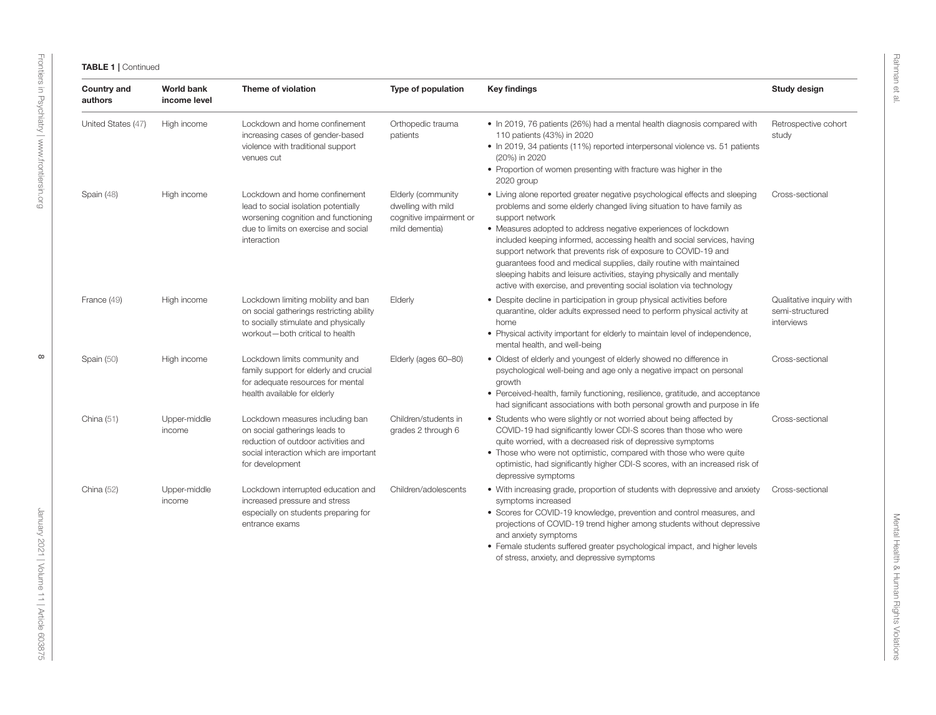| <b>Country and</b><br>authors | <b>World bank</b><br>income level | Theme of violation                                                                                                                                                   | Type of population                                                                    | <b>Key findings</b>                                                                                                                                                                                                                                                                                                                                                                                                                                                                                                                                                                                             | Study design                                              |
|-------------------------------|-----------------------------------|----------------------------------------------------------------------------------------------------------------------------------------------------------------------|---------------------------------------------------------------------------------------|-----------------------------------------------------------------------------------------------------------------------------------------------------------------------------------------------------------------------------------------------------------------------------------------------------------------------------------------------------------------------------------------------------------------------------------------------------------------------------------------------------------------------------------------------------------------------------------------------------------------|-----------------------------------------------------------|
| United States (47)            | High income                       | Lockdown and home confinement<br>increasing cases of gender-based<br>violence with traditional support<br>venues cut                                                 | Orthopedic trauma<br>patients                                                         | • In 2019, 76 patients (26%) had a mental health diagnosis compared with<br>110 patients (43%) in 2020<br>• In 2019, 34 patients (11%) reported interpersonal violence vs. 51 patients<br>(20%) in 2020<br>• Proportion of women presenting with fracture was higher in the<br>2020 group                                                                                                                                                                                                                                                                                                                       | Retrospective cohort<br>study                             |
| Spain (48)                    | High income                       | Lockdown and home confinement<br>lead to social isolation potentially<br>worsening cognition and functioning<br>due to limits on exercise and social<br>interaction  | Elderly (community<br>dwelling with mild<br>cognitive impairment or<br>mild dementia) | • Living alone reported greater negative psychological effects and sleeping<br>problems and some elderly changed living situation to have family as<br>support network<br>• Measures adopted to address negative experiences of lockdown<br>included keeping informed, accessing health and social services, having<br>support network that prevents risk of exposure to COVID-19 and<br>guarantees food and medical supplies, daily routine with maintained<br>sleeping habits and leisure activities, staying physically and mentally<br>active with exercise, and preventing social isolation via technology | Cross-sectional                                           |
| France (49)                   | High income                       | Lockdown limiting mobility and ban<br>on social gatherings restricting ability<br>to socially stimulate and physically<br>workout-both critical to health            | Elderly                                                                               | • Despite decline in participation in group physical activities before<br>quarantine, older adults expressed need to perform physical activity at<br>home<br>• Physical activity important for elderly to maintain level of independence,<br>mental health, and well-being                                                                                                                                                                                                                                                                                                                                      | Qualitative inquiry with<br>semi-structured<br>interviews |
| Spain (50)                    | High income                       | Lockdown limits community and<br>family support for elderly and crucial<br>for adequate resources for mental<br>health available for elderly                         | Elderly (ages 60-80)                                                                  | • Oldest of elderly and youngest of elderly showed no difference in<br>psychological well-being and age only a negative impact on personal<br>growth<br>• Perceived-health, family functioning, resilience, gratitude, and acceptance<br>had significant associations with both personal growth and purpose in life                                                                                                                                                                                                                                                                                             | Cross-sectional                                           |
| China $(51)$                  | Upper-middle<br>income            | Lockdown measures including ban<br>on social gatherings leads to<br>reduction of outdoor activities and<br>social interaction which are important<br>for development | Children/students in<br>grades 2 through 6                                            | • Students who were slightly or not worried about being affected by<br>COVID-19 had significantly lower CDI-S scores than those who were<br>quite worried, with a decreased risk of depressive symptoms<br>. Those who were not optimistic, compared with those who were quite<br>optimistic, had significantly higher CDI-S scores, with an increased risk of<br>depressive symptoms                                                                                                                                                                                                                           | Cross-sectional                                           |
| China (52)                    | Upper-middle<br>income            | Lockdown interrupted education and<br>increased pressure and stress<br>especially on students preparing for<br>entrance exams                                        | Children/adolescents                                                                  | • With increasing grade, proportion of students with depressive and anxiety<br>symptoms increased<br>• Scores for COVID-19 knowledge, prevention and control measures, and<br>projections of COVID-19 trend higher among students without depressive<br>and anxiety symptoms<br>• Female students suffered greater psychological impact, and higher levels<br>of stress, anxiety, and depressive symptoms                                                                                                                                                                                                       | Cross-sectional                                           |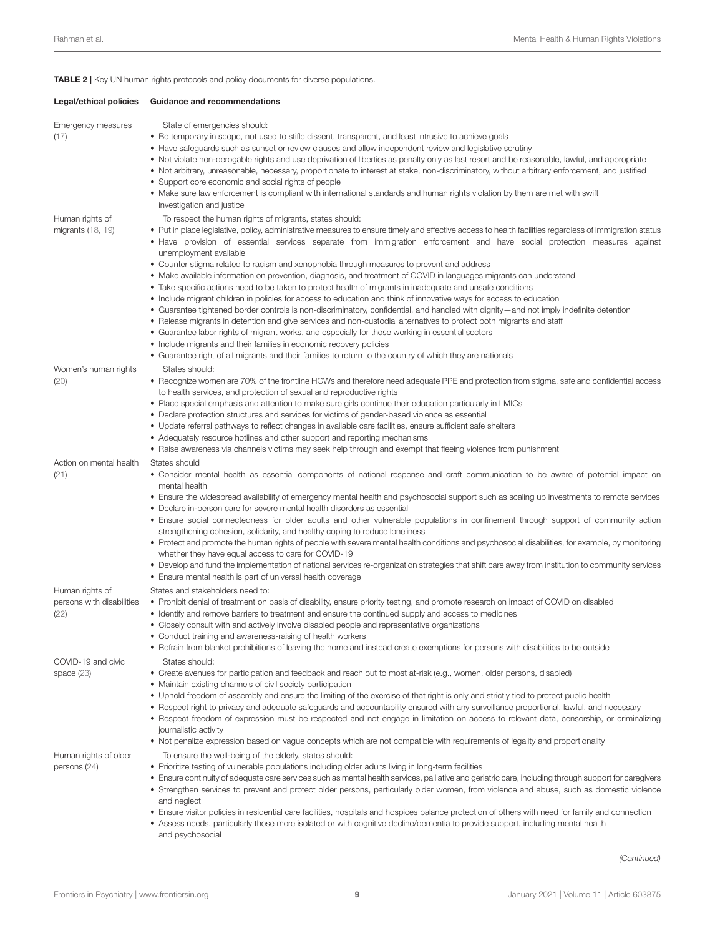<span id="page-8-0"></span>TABLE 2 | Key UN human rights protocols and policy documents for diverse populations.

| Legal/ethical policies                               | Guidance and recommendations                                                                                                                                                                                                                                                                                                                                                                                                                                                                                                                                                                                                                                                                                                                                                                                                                                                                                                                                                                                                                                                                                                                                                                                                                                                                                                                                                              |
|------------------------------------------------------|-------------------------------------------------------------------------------------------------------------------------------------------------------------------------------------------------------------------------------------------------------------------------------------------------------------------------------------------------------------------------------------------------------------------------------------------------------------------------------------------------------------------------------------------------------------------------------------------------------------------------------------------------------------------------------------------------------------------------------------------------------------------------------------------------------------------------------------------------------------------------------------------------------------------------------------------------------------------------------------------------------------------------------------------------------------------------------------------------------------------------------------------------------------------------------------------------------------------------------------------------------------------------------------------------------------------------------------------------------------------------------------------|
| Emergency measures<br>(17)                           | State of emergencies should:<br>• Be temporary in scope, not used to stifle dissent, transparent, and least intrusive to achieve goals<br>• Have safeguards such as sunset or review clauses and allow independent review and legislative scrutiny<br>• Not violate non-derogable rights and use deprivation of liberties as penalty only as last resort and be reasonable, lawful, and appropriate<br>• Not arbitrary, unreasonable, necessary, proportionate to interest at stake, non-discriminatory, without arbitrary enforcement, and justified<br>• Support core economic and social rights of people<br>• Make sure law enforcement is compliant with international standards and human rights violation by them are met with swift<br>investigation and justice                                                                                                                                                                                                                                                                                                                                                                                                                                                                                                                                                                                                                  |
| Human rights of<br>migrants (18, 19)                 | To respect the human rights of migrants, states should:<br>• Put in place legislative, policy, administrative measures to ensure timely and effective access to health facilities regardless of immigration status<br>• Have provision of essential services separate from immigration enforcement and have social protection measures against<br>unemployment available<br>• Counter stigma related to racism and xenophobia through measures to prevent and address<br>• Make available information on prevention, diagnosis, and treatment of COVID in languages migrants can understand<br>• Take specific actions need to be taken to protect health of migrants in inadequate and unsafe conditions<br>• Include migrant children in policies for access to education and think of innovative ways for access to education<br>• Guarantee tightened border controls is non-discriminatory, confidential, and handled with dignity—and not imply indefinite detention<br>• Release migrants in detention and give services and non-custodial alternatives to protect both migrants and staff<br>• Guarantee labor rights of migrant works, and especially for those working in essential sectors<br>• Include migrants and their families in economic recovery policies<br>• Guarantee right of all migrants and their families to return to the country of which they are nationals |
| Women's human rights<br>(20)                         | States should:<br>• Recognize women are 70% of the frontline HCWs and therefore need adequate PPE and protection from stigma, safe and confidential access<br>to health services, and protection of sexual and reproductive rights<br>• Place special emphasis and attention to make sure girls continue their education particularly in LMICs<br>• Declare protection structures and services for victims of gender-based violence as essential<br>• Update referral pathways to reflect changes in available care facilities, ensure sufficient safe shelters<br>• Adequately resource hotlines and other support and reporting mechanisms<br>• Raise awareness via channels victims may seek help through and exempt that fleeing violence from punishment                                                                                                                                                                                                                                                                                                                                                                                                                                                                                                                                                                                                                             |
| Action on mental health<br>(21)                      | States should<br>• Consider mental health as essential components of national response and craft communication to be aware of potential impact on<br>mental health<br>• Ensure the widespread availability of emergency mental health and psychosocial support such as scaling up investments to remote services<br>• Declare in-person care for severe mental health disorders as essential<br>• Ensure social connectedness for older adults and other vulnerable populations in confinement through support of community action<br>strengthening cohesion, solidarity, and healthy coping to reduce loneliness<br>• Protect and promote the human rights of people with severe mental health conditions and psychosocial disabilities, for example, by monitoring<br>whether they have equal access to care for COVID-19<br>• Develop and fund the implementation of national services re-organization strategies that shift care away from institution to community services<br>• Ensure mental health is part of universal health coverage                                                                                                                                                                                                                                                                                                                                           |
| Human rights of<br>persons with disabilities<br>(22) | States and stakeholders need to:<br>• Prohibit denial of treatment on basis of disability, ensure priority testing, and promote research on impact of COVID on disabled<br>• Identify and remove barriers to treatment and ensure the continued supply and access to medicines<br>• Closely consult with and actively involve disabled people and representative organizations<br>• Conduct training and awareness-raising of health workers<br>• Refrain from blanket prohibitions of leaving the home and instead create exemptions for persons with disabilities to be outside                                                                                                                                                                                                                                                                                                                                                                                                                                                                                                                                                                                                                                                                                                                                                                                                         |
| COVID-19 and civic<br>space $(23)$                   | States should:<br>• Create avenues for participation and feedback and reach out to most at-risk (e.g., women, older persons, disabled)<br>• Maintain existing channels of civil society participation<br>• Uphold freedom of assembly and ensure the limiting of the exercise of that right is only and strictly tied to protect public health<br>• Respect right to privacy and adequate safeguards and accountability ensured with any surveillance proportional, lawful, and necessary<br>• Respect freedom of expression must be respected and not engage in limitation on access to relevant data, censorship, or criminalizing<br>journalistic activity<br>• Not penalize expression based on vague concepts which are not compatible with requirements of legality and proportionality                                                                                                                                                                                                                                                                                                                                                                                                                                                                                                                                                                                             |
| Human rights of older<br>persons $(24)$              | To ensure the well-being of the elderly, states should:<br>• Prioritize testing of vulnerable populations including older adults living in long-term facilities<br>• Ensure continuity of adequate care services such as mental health services, palliative and geriatric care, including through support for caregivers<br>• Strengthen services to prevent and protect older persons, particularly older women, from violence and abuse, such as domestic violence<br>and neglect<br>• Ensure visitor policies in residential care facilities, hospitals and hospices balance protection of others with need for family and connection<br>• Assess needs, particularly those more isolated or with cognitive decline/dementia to provide support, including mental health<br>and psychosocial                                                                                                                                                                                                                                                                                                                                                                                                                                                                                                                                                                                           |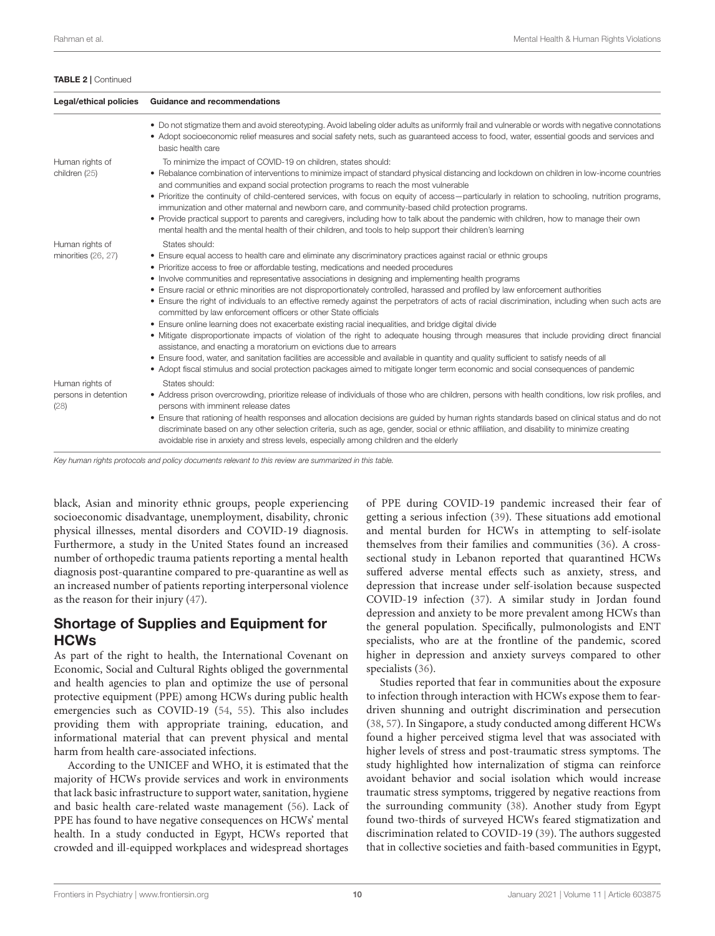#### TABLE 2 | Continued

| Legal/ethical policies                          | <b>Guidance and recommendations</b>                                                                                                                                                                                                                                                                                                                                                                                                                                                                                                                                                                                                                                                                                                                                                                                                                                                                                                                                                                                                                                                                                                                                                                                                                                                                   |
|-------------------------------------------------|-------------------------------------------------------------------------------------------------------------------------------------------------------------------------------------------------------------------------------------------------------------------------------------------------------------------------------------------------------------------------------------------------------------------------------------------------------------------------------------------------------------------------------------------------------------------------------------------------------------------------------------------------------------------------------------------------------------------------------------------------------------------------------------------------------------------------------------------------------------------------------------------------------------------------------------------------------------------------------------------------------------------------------------------------------------------------------------------------------------------------------------------------------------------------------------------------------------------------------------------------------------------------------------------------------|
|                                                 | • Do not stigmatize them and avoid stereotyping. Avoid labeling older adults as uniformly frail and vulnerable or words with negative connotations<br>• Adopt socioeconomic relief measures and social safety nets, such as guaranteed access to food, water, essential goods and services and<br>basic health care                                                                                                                                                                                                                                                                                                                                                                                                                                                                                                                                                                                                                                                                                                                                                                                                                                                                                                                                                                                   |
| Human rights of<br>children (25)                | To minimize the impact of COVID-19 on children, states should:<br>• Rebalance combination of interventions to minimize impact of standard physical distancing and lockdown on children in low-income countries<br>and communities and expand social protection programs to reach the most vulnerable                                                                                                                                                                                                                                                                                                                                                                                                                                                                                                                                                                                                                                                                                                                                                                                                                                                                                                                                                                                                  |
|                                                 | • Prioritize the continuity of child-centered services, with focus on equity of access—particularly in relation to schooling, nutrition programs,<br>immunization and other maternal and newborn care, and community-based child protection programs.                                                                                                                                                                                                                                                                                                                                                                                                                                                                                                                                                                                                                                                                                                                                                                                                                                                                                                                                                                                                                                                 |
|                                                 | • Provide practical support to parents and caregivers, including how to talk about the pandemic with children, how to manage their own<br>mental health and the mental health of their children, and tools to help support their children's learning                                                                                                                                                                                                                                                                                                                                                                                                                                                                                                                                                                                                                                                                                                                                                                                                                                                                                                                                                                                                                                                  |
| Human rights of<br>minorities (26, 27)          | States should:<br>• Ensure equal access to health care and eliminate any discriminatory practices against racial or ethnic groups<br>• Prioritize access to free or affordable testing, medications and needed procedures<br>• Involve communities and representative associations in designing and implementing health programs<br>• Ensure racial or ethnic minorities are not disproportionately controlled, harassed and profiled by law enforcement authorities<br>• Ensure the right of individuals to an effective remedy against the perpetrators of acts of racial discrimination, including when such acts are<br>committed by law enforcement officers or other State officials<br>• Ensure online learning does not exacerbate existing racial inequalities, and bridge digital divide<br>• Mitigate disproportionate impacts of violation of the right to adequate housing through measures that include providing direct financial<br>assistance, and enacting a moratorium on evictions due to arrears<br>• Ensure food, water, and sanitation facilities are accessible and available in quantity and quality sufficient to satisfy needs of all<br>• Adopt fiscal stimulus and social protection packages aimed to mitigate longer term economic and social consequences of pandemic |
| Human rights of<br>persons in detention<br>(28) | States should:<br>• Address prison overcrowding, prioritize release of individuals of those who are children, persons with health conditions, low risk profiles, and<br>persons with imminent release dates<br>• Ensure that rationing of health responses and allocation decisions are guided by human rights standards based on clinical status and do not<br>discriminate based on any other selection criteria, such as age, gender, social or ethnic affiliation, and disability to minimize creating<br>avoidable rise in anxiety and stress levels, especially among children and the elderly                                                                                                                                                                                                                                                                                                                                                                                                                                                                                                                                                                                                                                                                                                  |

Key human rights protocols and policy documents relevant to this review are summarized in this table.

black, Asian and minority ethnic groups, people experiencing socioeconomic disadvantage, unemployment, disability, chronic physical illnesses, mental disorders and COVID-19 diagnosis. Furthermore, a study in the United States found an increased number of orthopedic trauma patients reporting a mental health diagnosis post-quarantine compared to pre-quarantine as well as an increased number of patients reporting interpersonal violence as the reason for their injury [\(47\)](#page-17-16).

#### Shortage of Supplies and Equipment for **HCWs**

As part of the right to health, the International Covenant on Economic, Social and Cultural Rights obliged the governmental and health agencies to plan and optimize the use of personal protective equipment (PPE) among HCWs during public health emergencies such as COVID-19 [\(54,](#page-17-17) [55\)](#page-17-18). This also includes providing them with appropriate training, education, and informational material that can prevent physical and mental harm from health care-associated infections.

According to the UNICEF and WHO, it is estimated that the majority of HCWs provide services and work in environments that lack basic infrastructure to support water, sanitation, hygiene and basic health care-related waste management [\(56\)](#page-17-19). Lack of PPE has found to have negative consequences on HCWs' mental health. In a study conducted in Egypt, HCWs reported that crowded and ill-equipped workplaces and widespread shortages of PPE during COVID-19 pandemic increased their fear of getting a serious infection [\(39\)](#page-17-20). These situations add emotional and mental burden for HCWs in attempting to self-isolate themselves from their families and communities [\(36\)](#page-16-41). A crosssectional study in Lebanon reported that quarantined HCWs suffered adverse mental effects such as anxiety, stress, and depression that increase under self-isolation because suspected COVID-19 infection [\(37\)](#page-16-42). A similar study in Jordan found depression and anxiety to be more prevalent among HCWs than the general population. Specifically, pulmonologists and ENT specialists, who are at the frontline of the pandemic, scored higher in depression and anxiety surveys compared to other specialists [\(36\)](#page-16-41).

Studies reported that fear in communities about the exposure to infection through interaction with HCWs expose them to feardriven shunning and outright discrimination and persecution [\(38,](#page-16-43) [57\)](#page-17-21). In Singapore, a study conducted among different HCWs found a higher perceived stigma level that was associated with higher levels of stress and post-traumatic stress symptoms. The study highlighted how internalization of stigma can reinforce avoidant behavior and social isolation which would increase traumatic stress symptoms, triggered by negative reactions from the surrounding community [\(38\)](#page-16-43). Another study from Egypt found two-thirds of surveyed HCWs feared stigmatization and discrimination related to COVID-19 [\(39\)](#page-17-20). The authors suggested that in collective societies and faith-based communities in Egypt,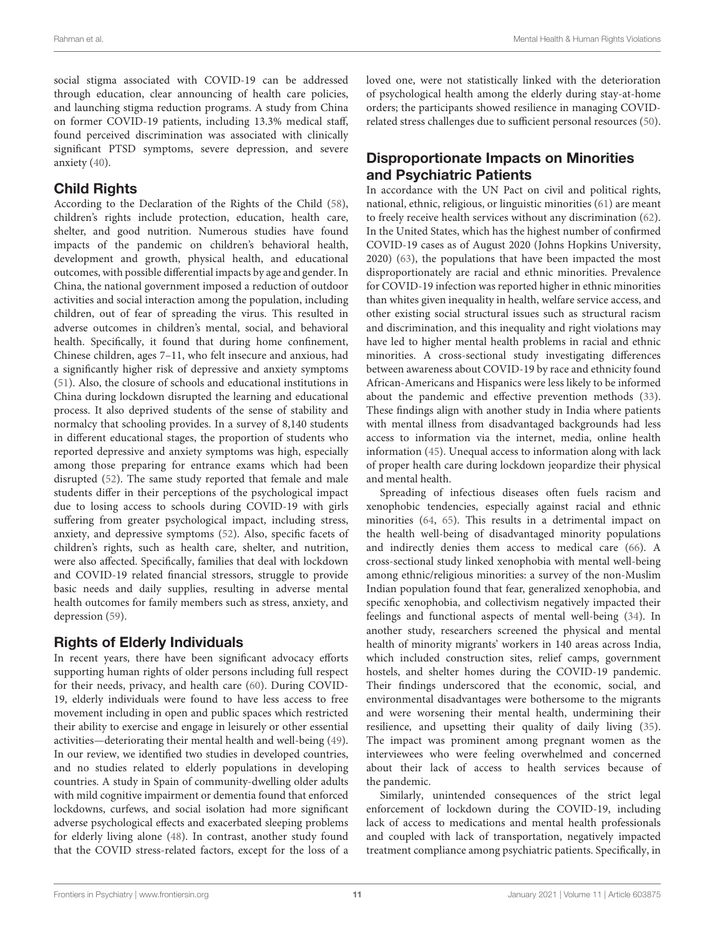social stigma associated with COVID-19 can be addressed through education, clear announcing of health care policies, and launching stigma reduction programs. A study from China on former COVID-19 patients, including 13.3% medical staff, found perceived discrimination was associated with clinically significant PTSD symptoms, severe depression, and severe anxiety [\(40\)](#page-17-22).

### Child Rights

According to the Declaration of the Rights of the Child [\(58\)](#page-17-23), children's rights include protection, education, health care, shelter, and good nutrition. Numerous studies have found impacts of the pandemic on children's behavioral health, development and growth, physical health, and educational outcomes, with possible differential impacts by age and gender. In China, the national government imposed a reduction of outdoor activities and social interaction among the population, including children, out of fear of spreading the virus. This resulted in adverse outcomes in children's mental, social, and behavioral health. Specifically, it found that during home confinement, Chinese children, ages 7–11, who felt insecure and anxious, had a significantly higher risk of depressive and anxiety symptoms [\(51\)](#page-17-24). Also, the closure of schools and educational institutions in China during lockdown disrupted the learning and educational process. It also deprived students of the sense of stability and normalcy that schooling provides. In a survey of 8,140 students in different educational stages, the proportion of students who reported depressive and anxiety symptoms was high, especially among those preparing for entrance exams which had been disrupted [\(52\)](#page-17-25). The same study reported that female and male students differ in their perceptions of the psychological impact due to losing access to schools during COVID-19 with girls suffering from greater psychological impact, including stress, anxiety, and depressive symptoms [\(52\)](#page-17-25). Also, specific facets of children's rights, such as health care, shelter, and nutrition, were also affected. Specifically, families that deal with lockdown and COVID-19 related financial stressors, struggle to provide basic needs and daily supplies, resulting in adverse mental health outcomes for family members such as stress, anxiety, and depression [\(59\)](#page-17-26).

#### Rights of Elderly Individuals

In recent years, there have been significant advocacy efforts supporting human rights of older persons including full respect for their needs, privacy, and health care [\(60\)](#page-17-27). During COVID-19, elderly individuals were found to have less access to free movement including in open and public spaces which restricted their ability to exercise and engage in leisurely or other essential activities—deteriorating their mental health and well-being [\(49\)](#page-17-28). In our review, we identified two studies in developed countries, and no studies related to elderly populations in developing countries. A study in Spain of community-dwelling older adults with mild cognitive impairment or dementia found that enforced lockdowns, curfews, and social isolation had more significant adverse psychological effects and exacerbated sleeping problems for elderly living alone [\(48\)](#page-17-29). In contrast, another study found that the COVID stress-related factors, except for the loss of a loved one, were not statistically linked with the deterioration of psychological health among the elderly during stay-at-home orders; the participants showed resilience in managing COVIDrelated stress challenges due to sufficient personal resources [\(50\)](#page-17-30).

#### Disproportionate Impacts on Minorities and Psychiatric Patients

In accordance with the UN Pact on civil and political rights, national, ethnic, religious, or linguistic minorities [\(61\)](#page-17-31) are meant to freely receive health services without any discrimination [\(62\)](#page-17-32). In the United States, which has the highest number of confirmed COVID-19 cases as of August 2020 (Johns Hopkins University, 2020) [\(63\)](#page-17-33), the populations that have been impacted the most disproportionately are racial and ethnic minorities. Prevalence for COVID-19 infection was reported higher in ethnic minorities than whites given inequality in health, welfare service access, and other existing social structural issues such as structural racism and discrimination, and this inequality and right violations may have led to higher mental health problems in racial and ethnic minorities. A cross-sectional study investigating differences between awareness about COVID-19 by race and ethnicity found African-Americans and Hispanics were less likely to be informed about the pandemic and effective prevention methods [\(33\)](#page-16-44). These findings align with another study in India where patients with mental illness from disadvantaged backgrounds had less access to information via the internet, media, online health information [\(45\)](#page-17-34). Unequal access to information along with lack of proper health care during lockdown jeopardize their physical and mental health.

Spreading of infectious diseases often fuels racism and xenophobic tendencies, especially against racial and ethnic minorities [\(64,](#page-17-35) [65\)](#page-17-36). This results in a detrimental impact on the health well-being of disadvantaged minority populations and indirectly denies them access to medical care [\(66\)](#page-17-37). A cross-sectional study linked xenophobia with mental well-being among ethnic/religious minorities: a survey of the non-Muslim Indian population found that fear, generalized xenophobia, and specific xenophobia, and collectivism negatively impacted their feelings and functional aspects of mental well-being [\(34\)](#page-16-45). In another study, researchers screened the physical and mental health of minority migrants' workers in 140 areas across India, which included construction sites, relief camps, government hostels, and shelter homes during the COVID-19 pandemic. Their findings underscored that the economic, social, and environmental disadvantages were bothersome to the migrants and were worsening their mental health, undermining their resilience, and upsetting their quality of daily living [\(35\)](#page-16-46). The impact was prominent among pregnant women as the interviewees who were feeling overwhelmed and concerned about their lack of access to health services because of the pandemic.

Similarly, unintended consequences of the strict legal enforcement of lockdown during the COVID-19, including lack of access to medications and mental health professionals and coupled with lack of transportation, negatively impacted treatment compliance among psychiatric patients. Specifically, in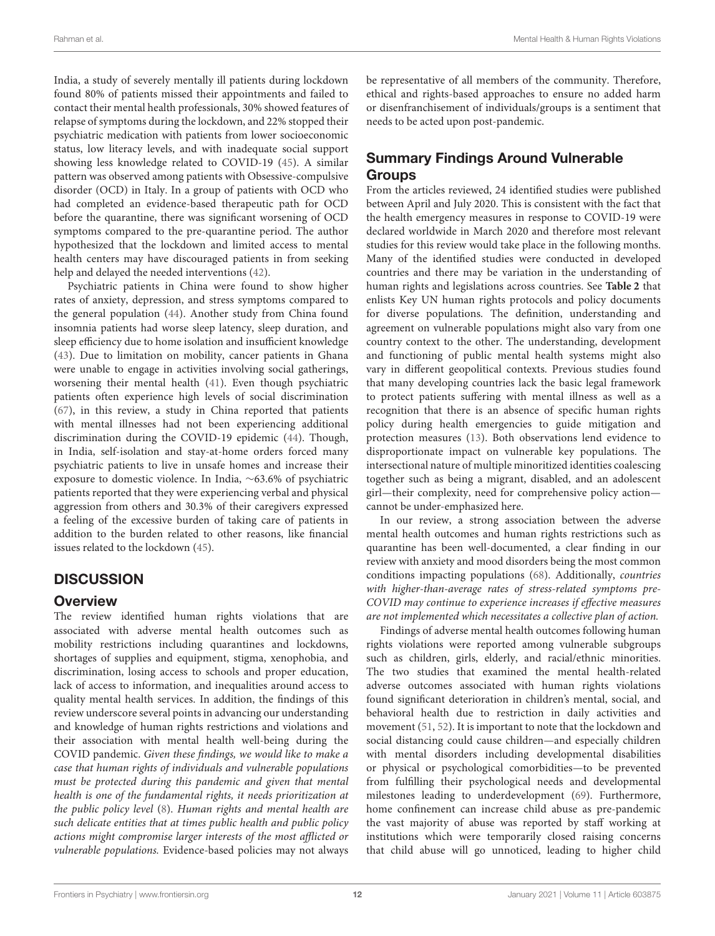India, a study of severely mentally ill patients during lockdown found 80% of patients missed their appointments and failed to contact their mental health professionals, 30% showed features of relapse of symptoms during the lockdown, and 22% stopped their psychiatric medication with patients from lower socioeconomic status, low literacy levels, and with inadequate social support showing less knowledge related to COVID-19 [\(45\)](#page-17-34). A similar pattern was observed among patients with Obsessive-compulsive disorder (OCD) in Italy. In a group of patients with OCD who had completed an evidence-based therapeutic path for OCD before the quarantine, there was significant worsening of OCD symptoms compared to the pre-quarantine period. The author hypothesized that the lockdown and limited access to mental health centers may have discouraged patients in from seeking help and delayed the needed interventions [\(42\)](#page-17-38).

Psychiatric patients in China were found to show higher rates of anxiety, depression, and stress symptoms compared to the general population [\(44\)](#page-17-39). Another study from China found insomnia patients had worse sleep latency, sleep duration, and sleep efficiency due to home isolation and insufficient knowledge [\(43\)](#page-17-40). Due to limitation on mobility, cancer patients in Ghana were unable to engage in activities involving social gatherings, worsening their mental health [\(41\)](#page-17-41). Even though psychiatric patients often experience high levels of social discrimination [\(67\)](#page-17-42), in this review, a study in China reported that patients with mental illnesses had not been experiencing additional discrimination during the COVID-19 epidemic [\(44\)](#page-17-39). Though, in India, self-isolation and stay-at-home orders forced many psychiatric patients to live in unsafe homes and increase their exposure to domestic violence. In India, ∼63.6% of psychiatric patients reported that they were experiencing verbal and physical aggression from others and 30.3% of their caregivers expressed a feeling of the excessive burden of taking care of patients in addition to the burden related to other reasons, like financial issues related to the lockdown [\(45\)](#page-17-34).

## **DISCUSSION**

#### **Overview**

The review identified human rights violations that are associated with adverse mental health outcomes such as mobility restrictions including quarantines and lockdowns, shortages of supplies and equipment, stigma, xenophobia, and discrimination, losing access to schools and proper education, lack of access to information, and inequalities around access to quality mental health services. In addition, the findings of this review underscore several points in advancing our understanding and knowledge of human rights restrictions and violations and their association with mental health well-being during the COVID pandemic. Given these findings, we would like to make a case that human rights of individuals and vulnerable populations must be protected during this pandemic and given that mental health is one of the fundamental rights, it needs prioritization at the public policy level [\(8\)](#page-16-7). Human rights and mental health are such delicate entities that at times public health and public policy actions might compromise larger interests of the most afflicted or vulnerable populations. Evidence-based policies may not always be representative of all members of the community. Therefore, ethical and rights-based approaches to ensure no added harm or disenfranchisement of individuals/groups is a sentiment that needs to be acted upon post-pandemic.

## Summary Findings Around Vulnerable **Groups**

From the articles reviewed, 24 identified studies were published between April and July 2020. This is consistent with the fact that the health emergency measures in response to COVID-19 were declared worldwide in March 2020 and therefore most relevant studies for this review would take place in the following months. Many of the identified studies were conducted in developed countries and there may be variation in the understanding of human rights and legislations across countries. See **[Table 2](#page-8-0)** that enlists Key UN human rights protocols and policy documents for diverse populations. The definition, understanding and agreement on vulnerable populations might also vary from one country context to the other. The understanding, development and functioning of public mental health systems might also vary in different geopolitical contexts. Previous studies found that many developing countries lack the basic legal framework to protect patients suffering with mental illness as well as a recognition that there is an absence of specific human rights policy during health emergencies to guide mitigation and protection measures [\(13\)](#page-16-11). Both observations lend evidence to disproportionate impact on vulnerable key populations. The intersectional nature of multiple minoritized identities coalescing together such as being a migrant, disabled, and an adolescent girl—their complexity, need for comprehensive policy action cannot be under-emphasized here.

In our review, a strong association between the adverse mental health outcomes and human rights restrictions such as quarantine has been well-documented, a clear finding in our review with anxiety and mood disorders being the most common conditions impacting populations [\(68\)](#page-17-43). Additionally, countries with higher-than-average rates of stress-related symptoms pre-COVID may continue to experience increases if effective measures are not implemented which necessitates a collective plan of action.

Findings of adverse mental health outcomes following human rights violations were reported among vulnerable subgroups such as children, girls, elderly, and racial/ethnic minorities. The two studies that examined the mental health-related adverse outcomes associated with human rights violations found significant deterioration in children's mental, social, and behavioral health due to restriction in daily activities and movement [\(51,](#page-17-24) [52\)](#page-17-25). It is important to note that the lockdown and social distancing could cause children—and especially children with mental disorders including developmental disabilities or physical or psychological comorbidities—to be prevented from fulfilling their psychological needs and developmental milestones leading to underdevelopment [\(69\)](#page-17-44). Furthermore, home confinement can increase child abuse as pre-pandemic the vast majority of abuse was reported by staff working at institutions which were temporarily closed raising concerns that child abuse will go unnoticed, leading to higher child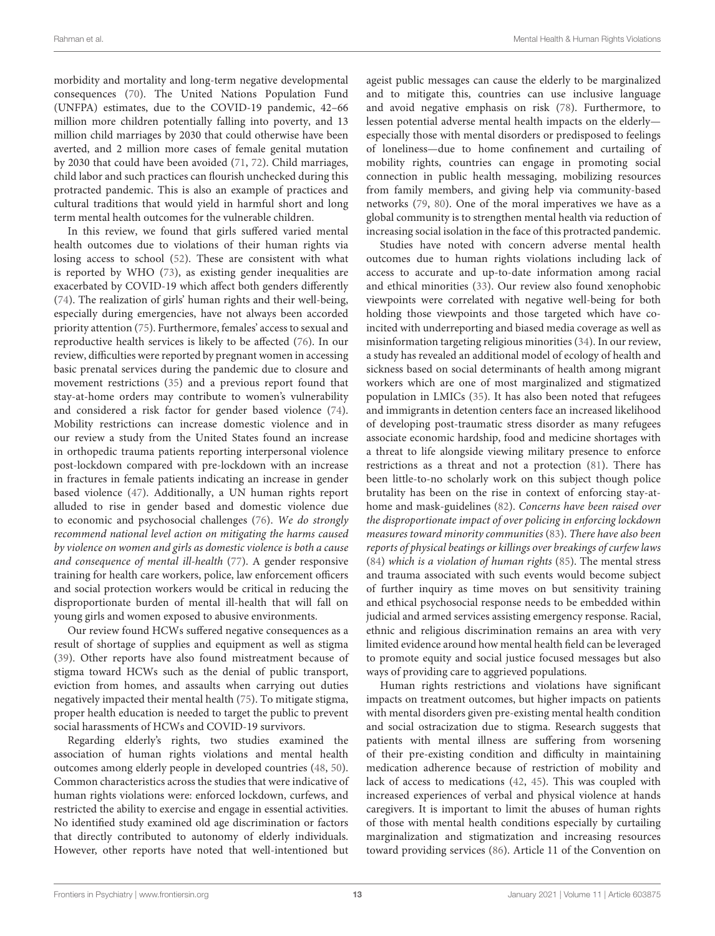morbidity and mortality and long-term negative developmental consequences [\(70\)](#page-17-45). The United Nations Population Fund (UNFPA) estimates, due to the COVID-19 pandemic, 42–66 million more children potentially falling into poverty, and 13 million child marriages by 2030 that could otherwise have been averted, and 2 million more cases of female genital mutation by 2030 that could have been avoided [\(71,](#page-17-46) [72\)](#page-17-47). Child marriages, child labor and such practices can flourish unchecked during this protracted pandemic. This is also an example of practices and cultural traditions that would yield in harmful short and long term mental health outcomes for the vulnerable children.

In this review, we found that girls suffered varied mental health outcomes due to violations of their human rights via losing access to school [\(52\)](#page-17-25). These are consistent with what is reported by WHO [\(73\)](#page-17-48), as existing gender inequalities are exacerbated by COVID-19 which affect both genders differently [\(74\)](#page-17-49). The realization of girls' human rights and their well-being, especially during emergencies, have not always been accorded priority attention [\(75\)](#page-17-50). Furthermore, females' access to sexual and reproductive health services is likely to be affected [\(76\)](#page-17-51). In our review, difficulties were reported by pregnant women in accessing basic prenatal services during the pandemic due to closure and movement restrictions [\(35\)](#page-16-46) and a previous report found that stay-at-home orders may contribute to women's vulnerability and considered a risk factor for gender based violence [\(74\)](#page-17-49). Mobility restrictions can increase domestic violence and in our review a study from the United States found an increase in orthopedic trauma patients reporting interpersonal violence post-lockdown compared with pre-lockdown with an increase in fractures in female patients indicating an increase in gender based violence [\(47\)](#page-17-16). Additionally, a UN human rights report alluded to rise in gender based and domestic violence due to economic and psychosocial challenges [\(76\)](#page-17-51). We do strongly recommend national level action on mitigating the harms caused by violence on women and girls as domestic violence is both a cause and consequence of mental ill-health [\(77\)](#page-18-0). A gender responsive training for health care workers, police, law enforcement officers and social protection workers would be critical in reducing the disproportionate burden of mental ill-health that will fall on young girls and women exposed to abusive environments.

Our review found HCWs suffered negative consequences as a result of shortage of supplies and equipment as well as stigma [\(39\)](#page-17-20). Other reports have also found mistreatment because of stigma toward HCWs such as the denial of public transport, eviction from homes, and assaults when carrying out duties negatively impacted their mental health [\(75\)](#page-17-50). To mitigate stigma, proper health education is needed to target the public to prevent social harassments of HCWs and COVID-19 survivors.

Regarding elderly's rights, two studies examined the association of human rights violations and mental health outcomes among elderly people in developed countries [\(48,](#page-17-29) [50\)](#page-17-30). Common characteristics across the studies that were indicative of human rights violations were: enforced lockdown, curfews, and restricted the ability to exercise and engage in essential activities. No identified study examined old age discrimination or factors that directly contributed to autonomy of elderly individuals. However, other reports have noted that well-intentioned but ageist public messages can cause the elderly to be marginalized and to mitigate this, countries can use inclusive language and avoid negative emphasis on risk [\(78\)](#page-18-1). Furthermore, to lessen potential adverse mental health impacts on the elderly especially those with mental disorders or predisposed to feelings of loneliness—due to home confinement and curtailing of mobility rights, countries can engage in promoting social connection in public health messaging, mobilizing resources from family members, and giving help via community-based networks [\(79,](#page-18-2) [80\)](#page-18-3). One of the moral imperatives we have as a global community is to strengthen mental health via reduction of increasing social isolation in the face of this protracted pandemic.

Studies have noted with concern adverse mental health outcomes due to human rights violations including lack of access to accurate and up-to-date information among racial and ethical minorities [\(33\)](#page-16-44). Our review also found xenophobic viewpoints were correlated with negative well-being for both holding those viewpoints and those targeted which have coincited with underreporting and biased media coverage as well as misinformation targeting religious minorities [\(34\)](#page-16-45). In our review, a study has revealed an additional model of ecology of health and sickness based on social determinants of health among migrant workers which are one of most marginalized and stigmatized population in LMICs [\(35\)](#page-16-46). It has also been noted that refugees and immigrants in detention centers face an increased likelihood of developing post-traumatic stress disorder as many refugees associate economic hardship, food and medicine shortages with a threat to life alongside viewing military presence to enforce restrictions as a threat and not a protection [\(81\)](#page-18-4). There has been little-to-no scholarly work on this subject though police brutality has been on the rise in context of enforcing stay-athome and mask-guidelines [\(82\)](#page-18-5). Concerns have been raised over the disproportionate impact of over policing in enforcing lockdown measures toward minority communities [\(83\)](#page-18-6). There have also been reports of physical beatings or killings over breakings of curfew laws [\(84\)](#page-18-7) which is a violation of human rights [\(85\)](#page-18-8). The mental stress and trauma associated with such events would become subject of further inquiry as time moves on but sensitivity training and ethical psychosocial response needs to be embedded within judicial and armed services assisting emergency response. Racial, ethnic and religious discrimination remains an area with very limited evidence around how mental health field can be leveraged to promote equity and social justice focused messages but also ways of providing care to aggrieved populations.

Human rights restrictions and violations have significant impacts on treatment outcomes, but higher impacts on patients with mental disorders given pre-existing mental health condition and social ostracization due to stigma. Research suggests that patients with mental illness are suffering from worsening of their pre-existing condition and difficulty in maintaining medication adherence because of restriction of mobility and lack of access to medications [\(42,](#page-17-38) [45\)](#page-17-34). This was coupled with increased experiences of verbal and physical violence at hands caregivers. It is important to limit the abuses of human rights of those with mental health conditions especially by curtailing marginalization and stigmatization and increasing resources toward providing services [\(86\)](#page-18-9). Article 11 of the Convention on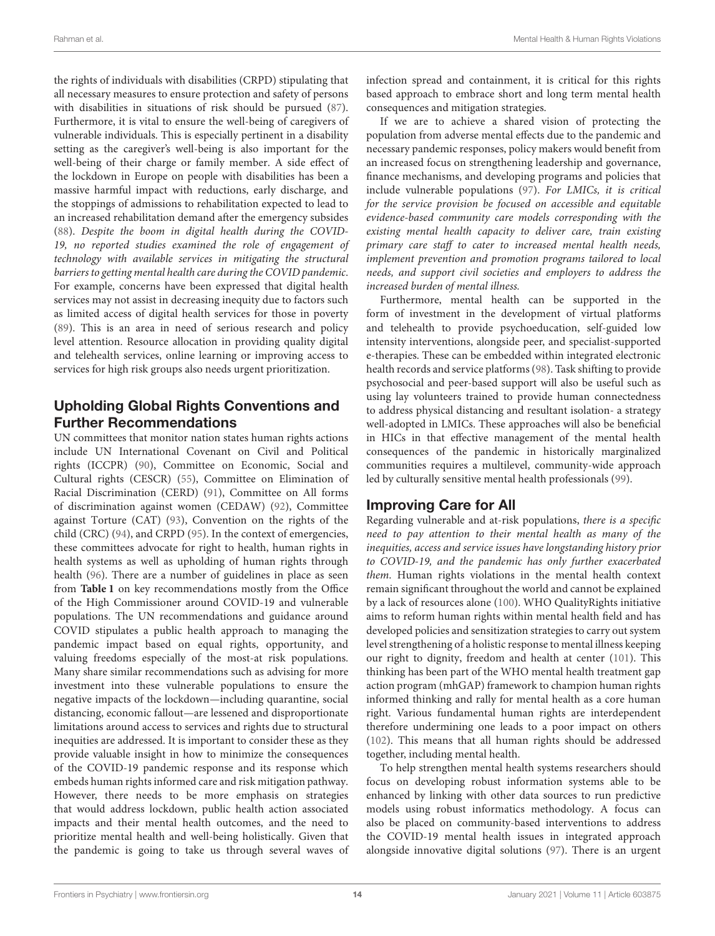the rights of individuals with disabilities (CRPD) stipulating that all necessary measures to ensure protection and safety of persons with disabilities in situations of risk should be pursued [\(87\)](#page-18-10). Furthermore, it is vital to ensure the well-being of caregivers of vulnerable individuals. This is especially pertinent in a disability setting as the caregiver's well-being is also important for the well-being of their charge or family member. A side effect of the lockdown in Europe on people with disabilities has been a massive harmful impact with reductions, early discharge, and the stoppings of admissions to rehabilitation expected to lead to an increased rehabilitation demand after the emergency subsides [\(88\)](#page-18-11). Despite the boom in digital health during the COVID-19, no reported studies examined the role of engagement of technology with available services in mitigating the structural barriers to getting mental health care during the COVID pandemic. For example, concerns have been expressed that digital health services may not assist in decreasing inequity due to factors such as limited access of digital health services for those in poverty [\(89\)](#page-18-12). This is an area in need of serious research and policy level attention. Resource allocation in providing quality digital and telehealth services, online learning or improving access to services for high risk groups also needs urgent prioritization.

## Upholding Global Rights Conventions and Further Recommendations

UN committees that monitor nation states human rights actions include UN International Covenant on Civil and Political rights (ICCPR) [\(90\)](#page-18-13), Committee on Economic, Social and Cultural rights (CESCR) [\(55\)](#page-17-18), Committee on Elimination of Racial Discrimination (CERD) [\(91\)](#page-18-14), Committee on All forms of discrimination against women (CEDAW) [\(92\)](#page-18-15), Committee against Torture (CAT) [\(93\)](#page-18-16), Convention on the rights of the child (CRC) [\(94\)](#page-18-17), and CRPD [\(95\)](#page-18-18). In the context of emergencies, these committees advocate for right to health, human rights in health systems as well as upholding of human rights through health [\(96\)](#page-18-19). There are a number of guidelines in place as seen from **[Table 1](#page-4-0)** on key recommendations mostly from the Office of the High Commissioner around COVID-19 and vulnerable populations. The UN recommendations and guidance around COVID stipulates a public health approach to managing the pandemic impact based on equal rights, opportunity, and valuing freedoms especially of the most-at risk populations. Many share similar recommendations such as advising for more investment into these vulnerable populations to ensure the negative impacts of the lockdown—including quarantine, social distancing, economic fallout—are lessened and disproportionate limitations around access to services and rights due to structural inequities are addressed. It is important to consider these as they provide valuable insight in how to minimize the consequences of the COVID-19 pandemic response and its response which embeds human rights informed care and risk mitigation pathway. However, there needs to be more emphasis on strategies that would address lockdown, public health action associated impacts and their mental health outcomes, and the need to prioritize mental health and well-being holistically. Given that the pandemic is going to take us through several waves of infection spread and containment, it is critical for this rights based approach to embrace short and long term mental health consequences and mitigation strategies.

If we are to achieve a shared vision of protecting the population from adverse mental effects due to the pandemic and necessary pandemic responses, policy makers would benefit from an increased focus on strengthening leadership and governance, finance mechanisms, and developing programs and policies that include vulnerable populations [\(97\)](#page-18-20). For LMICs, it is critical for the service provision be focused on accessible and equitable evidence-based community care models corresponding with the existing mental health capacity to deliver care, train existing primary care staff to cater to increased mental health needs, implement prevention and promotion programs tailored to local needs, and support civil societies and employers to address the increased burden of mental illness.

Furthermore, mental health can be supported in the form of investment in the development of virtual platforms and telehealth to provide psychoeducation, self-guided low intensity interventions, alongside peer, and specialist-supported e-therapies. These can be embedded within integrated electronic health records and service platforms [\(98\)](#page-18-21). Task shifting to provide psychosocial and peer-based support will also be useful such as using lay volunteers trained to provide human connectedness to address physical distancing and resultant isolation- a strategy well-adopted in LMICs. These approaches will also be beneficial in HICs in that effective management of the mental health consequences of the pandemic in historically marginalized communities requires a multilevel, community-wide approach led by culturally sensitive mental health professionals [\(99\)](#page-18-22).

#### Improving Care for All

Regarding vulnerable and at-risk populations, there is a specific need to pay attention to their mental health as many of the inequities, access and service issues have longstanding history prior to COVID-19, and the pandemic has only further exacerbated them. Human rights violations in the mental health context remain significant throughout the world and cannot be explained by a lack of resources alone [\(100\)](#page-18-23). WHO QualityRights initiative aims to reform human rights within mental health field and has developed policies and sensitization strategies to carry out system level strengthening of a holistic response to mental illness keeping our right to dignity, freedom and health at center [\(101\)](#page-18-24). This thinking has been part of the WHO mental health treatment gap action program (mhGAP) framework to champion human rights informed thinking and rally for mental health as a core human right. Various fundamental human rights are interdependent therefore undermining one leads to a poor impact on others [\(102\)](#page-18-25). This means that all human rights should be addressed together, including mental health.

To help strengthen mental health systems researchers should focus on developing robust information systems able to be enhanced by linking with other data sources to run predictive models using robust informatics methodology. A focus can also be placed on community-based interventions to address the COVID-19 mental health issues in integrated approach alongside innovative digital solutions [\(97\)](#page-18-20). There is an urgent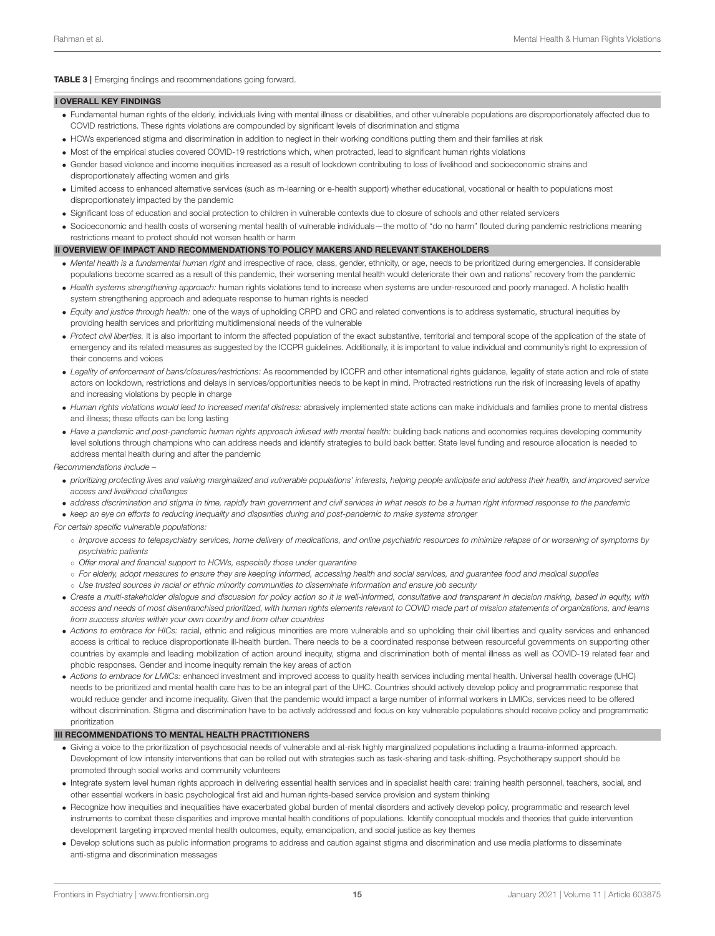<span id="page-14-0"></span>TABLE 3 | Emerging findings and recommendations going forward.

#### I OVERALL KEY FINDINGS

- Fundamental human rights of the elderly, individuals living with mental illness or disabilities, and other vulnerable populations are disproportionately affected due to COVID restrictions. These rights violations are compounded by significant levels of discrimination and stigma
- HCWs experienced stigma and discrimination in addition to neglect in their working conditions putting them and their families at risk
- Most of the empirical studies covered COVID-19 restrictions which, when protracted, lead to significant human rights violations
- Gender based violence and income inequities increased as a result of lockdown contributing to loss of livelihood and socioeconomic strains and disproportionately affecting women and girls
- Limited access to enhanced alternative services (such as m-learning or e-health support) whether educational, vocational or health to populations most disproportionately impacted by the pandemic
- Significant loss of education and social protection to children in vulnerable contexts due to closure of schools and other related servicers
- Socioeconomic and health costs of worsening mental health of vulnerable individuals—the motto of "do no harm" flouted during pandemic restrictions meaning restrictions meant to protect should not worsen health or harm

#### II OVERVIEW OF IMPACT AND RECOMMENDATIONS TO POLICY MAKERS AND RELEVANT STAKEHOLDERS

- Mental health is a fundamental human right and irrespective of race, class, gender, ethnicity, or age, needs to be prioritized during emergencies. If considerable populations become scarred as a result of this pandemic, their worsening mental health would deteriorate their own and nations' recovery from the pandemic
- Health systems strengthening approach: human rights violations tend to increase when systems are under-resourced and poorly managed. A holistic health system strengthening approach and adequate response to human rights is needed
- Equity and justice through health: one of the ways of upholding CRPD and CRC and related conventions is to address systematic, structural inequities by providing health services and prioritizing multidimensional needs of the vulnerable
- Protect civil liberties. It is also important to inform the affected population of the exact substantive, territorial and temporal scope of the application of the state of emergency and its related measures as suggested by the ICCPR guidelines. Additionally, it is important to value individual and community's right to expression of their concerns and voices
- Legality of enforcement of bans/closures/restrictions: As recommended by ICCPR and other international rights guidance, legality of state action and role of state actors on lockdown, restrictions and delays in services/opportunities needs to be kept in mind. Protracted restrictions run the risk of increasing levels of apathy and increasing violations by people in charge
- Human rights violations would lead to increased mental distress: abrasively implemented state actions can make individuals and families prone to mental distress and illness; these effects can be long lasting
- Have a pandemic and post-pandemic human rights approach infused with mental health: building back nations and economies requires developing community level solutions through champions who can address needs and identify strategies to build back better. State level funding and resource allocation is needed to address mental health during and after the pandemic

Recommendations include –

- prioritizing protecting lives and valuing marginalized and vulnerable populations' interests, helping people anticipate and address their health, and improved service access and livelihood challenges
- address discrimination and stigma in time, rapidly train government and civil services in what needs to be a human right informed response to the pandemic
- keep an eye on efforts to reducing inequality and disparities during and post-pandemic to make systems stronger

#### For certain specific vulnerable populations:

- Improve access to telepsychiatry services, home delivery of medications, and online psychiatric resources to minimize relapse of or worsening of symptoms by psychiatric patients
- Offer moral and financial support to HCWs, especially those under quarantine
- For elderly, adopt measures to ensure they are keeping informed, accessing health and social services, and guarantee food and medical supplies
- Use trusted sources in racial or ethnic minority communities to disseminate information and ensure job security
- Create a multi-stakeholder dialogue and discussion for policy action so it is well-informed, consultative and transparent in decision making, based in equity, with access and needs of most disenfranchised prioritized, with human rights elements relevant to COVID made part of mission statements of organizations, and learns from success stories within your own country and from other countries
- Actions to embrace for HICs: racial, ethnic and religious minorities are more vulnerable and so upholding their civil liberties and quality services and enhanced access is critical to reduce disproportionate ill-health burden. There needs to be a coordinated response between resourceful governments on supporting other countries by example and leading mobilization of action around inequity, stigma and discrimination both of mental illness as well as COVID-19 related fear and phobic responses. Gender and income inequity remain the key areas of action
- Actions to embrace for LMICs: enhanced investment and improved access to quality health services including mental health. Universal health coverage (UHC) needs to be prioritized and mental health care has to be an integral part of the UHC. Countries should actively develop policy and programmatic response that would reduce gender and income inequality. Given that the pandemic would impact a large number of informal workers in LMICs, services need to be offered without discrimination. Stigma and discrimination have to be actively addressed and focus on key vulnerable populations should receive policy and programmatic prioritization

#### III RECOMMENDATIONS TO MENTAL HEALTH PRACTITIONERS

- Giving a voice to the prioritization of psychosocial needs of vulnerable and at-risk highly marginalized populations including a trauma-informed approach. Development of low intensity interventions that can be rolled out with strategies such as task-sharing and task-shifting. Psychotherapy support should be promoted through social works and community volunteers
- Integrate system level human rights approach in delivering essential health services and in specialist health care: training health personnel, teachers, social, and other essential workers in basic psychological first aid and human rights-based service provision and system thinking
- Recognize how inequities and inequalities have exacerbated global burden of mental disorders and actively develop policy, programmatic and research level instruments to combat these disparities and improve mental health conditions of populations. Identify conceptual models and theories that guide intervention development targeting improved mental health outcomes, equity, emancipation, and social justice as key themes
- Develop solutions such as public information programs to address and caution against stigma and discrimination and use media platforms to disseminate anti-stigma and discrimination messages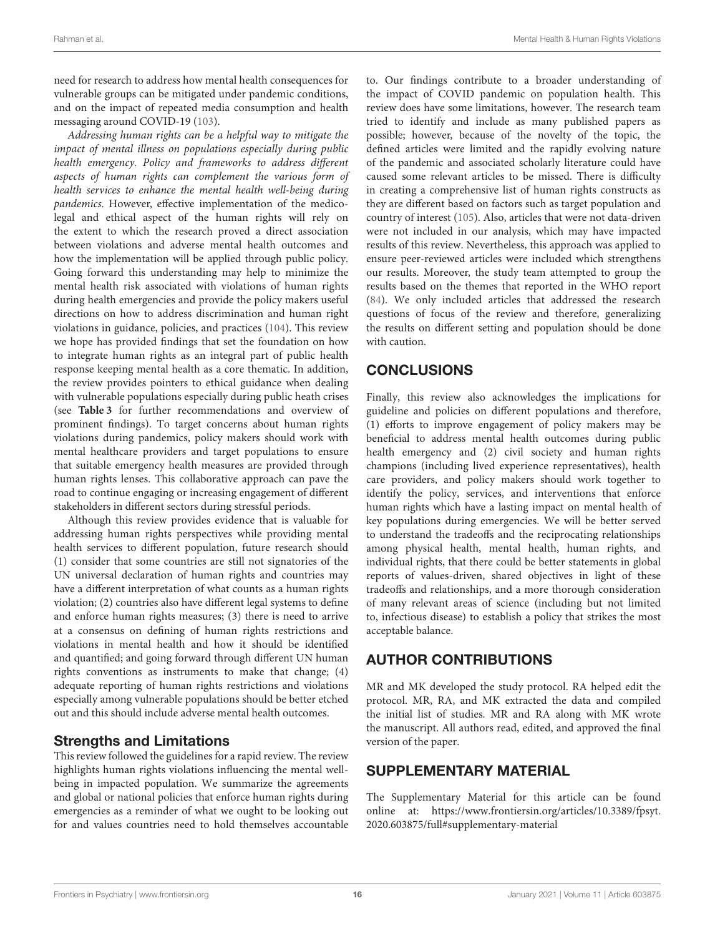need for research to address how mental health consequences for vulnerable groups can be mitigated under pandemic conditions, and on the impact of repeated media consumption and health messaging around COVID-19 [\(103\)](#page-18-26).

Addressing human rights can be a helpful way to mitigate the impact of mental illness on populations especially during public health emergency. Policy and frameworks to address different aspects of human rights can complement the various form of health services to enhance the mental health well-being during pandemics. However, effective implementation of the medicolegal and ethical aspect of the human rights will rely on the extent to which the research proved a direct association between violations and adverse mental health outcomes and how the implementation will be applied through public policy. Going forward this understanding may help to minimize the mental health risk associated with violations of human rights during health emergencies and provide the policy makers useful directions on how to address discrimination and human right violations in guidance, policies, and practices [\(104\)](#page-18-27). This review we hope has provided findings that set the foundation on how to integrate human rights as an integral part of public health response keeping mental health as a core thematic. In addition, the review provides pointers to ethical guidance when dealing with vulnerable populations especially during public heath crises (see **[Table 3](#page-14-0)** for further recommendations and overview of prominent findings). To target concerns about human rights violations during pandemics, policy makers should work with mental healthcare providers and target populations to ensure that suitable emergency health measures are provided through human rights lenses. This collaborative approach can pave the road to continue engaging or increasing engagement of different stakeholders in different sectors during stressful periods.

Although this review provides evidence that is valuable for addressing human rights perspectives while providing mental health services to different population, future research should (1) consider that some countries are still not signatories of the UN universal declaration of human rights and countries may have a different interpretation of what counts as a human rights violation; (2) countries also have different legal systems to define and enforce human rights measures; (3) there is need to arrive at a consensus on defining of human rights restrictions and violations in mental health and how it should be identified and quantified; and going forward through different UN human rights conventions as instruments to make that change; (4) adequate reporting of human rights restrictions and violations especially among vulnerable populations should be better etched out and this should include adverse mental health outcomes.

#### Strengths and Limitations

This review followed the guidelines for a rapid review. The review highlights human rights violations influencing the mental wellbeing in impacted population. We summarize the agreements and global or national policies that enforce human rights during emergencies as a reminder of what we ought to be looking out for and values countries need to hold themselves accountable to. Our findings contribute to a broader understanding of the impact of COVID pandemic on population health. This review does have some limitations, however. The research team tried to identify and include as many published papers as possible; however, because of the novelty of the topic, the defined articles were limited and the rapidly evolving nature of the pandemic and associated scholarly literature could have caused some relevant articles to be missed. There is difficulty in creating a comprehensive list of human rights constructs as they are different based on factors such as target population and country of interest [\(105\)](#page-18-28). Also, articles that were not data-driven were not included in our analysis, which may have impacted results of this review. Nevertheless, this approach was applied to ensure peer-reviewed articles were included which strengthens our results. Moreover, the study team attempted to group the results based on the themes that reported in the WHO report [\(84\)](#page-18-7). We only included articles that addressed the research questions of focus of the review and therefore, generalizing the results on different setting and population should be done with caution.

## **CONCLUSIONS**

Finally, this review also acknowledges the implications for guideline and policies on different populations and therefore, (1) efforts to improve engagement of policy makers may be beneficial to address mental health outcomes during public health emergency and (2) civil society and human rights champions (including lived experience representatives), health care providers, and policy makers should work together to identify the policy, services, and interventions that enforce human rights which have a lasting impact on mental health of key populations during emergencies. We will be better served to understand the tradeoffs and the reciprocating relationships among physical health, mental health, human rights, and individual rights, that there could be better statements in global reports of values-driven, shared objectives in light of these tradeoffs and relationships, and a more thorough consideration of many relevant areas of science (including but not limited to, infectious disease) to establish a policy that strikes the most acceptable balance.

## AUTHOR CONTRIBUTIONS

MR and MK developed the study protocol. RA helped edit the protocol. MR, RA, and MK extracted the data and compiled the initial list of studies. MR and RA along with MK wrote the manuscript. All authors read, edited, and approved the final version of the paper.

## SUPPLEMENTARY MATERIAL

The Supplementary Material for this article can be found [online at: https://www.frontiersin.org/articles/10.3389/fpsyt.](https://www.frontiersin.org/articles/10.3389/fpsyt.2020.603875/full#supplementary-material) 2020.603875/full#supplementary-material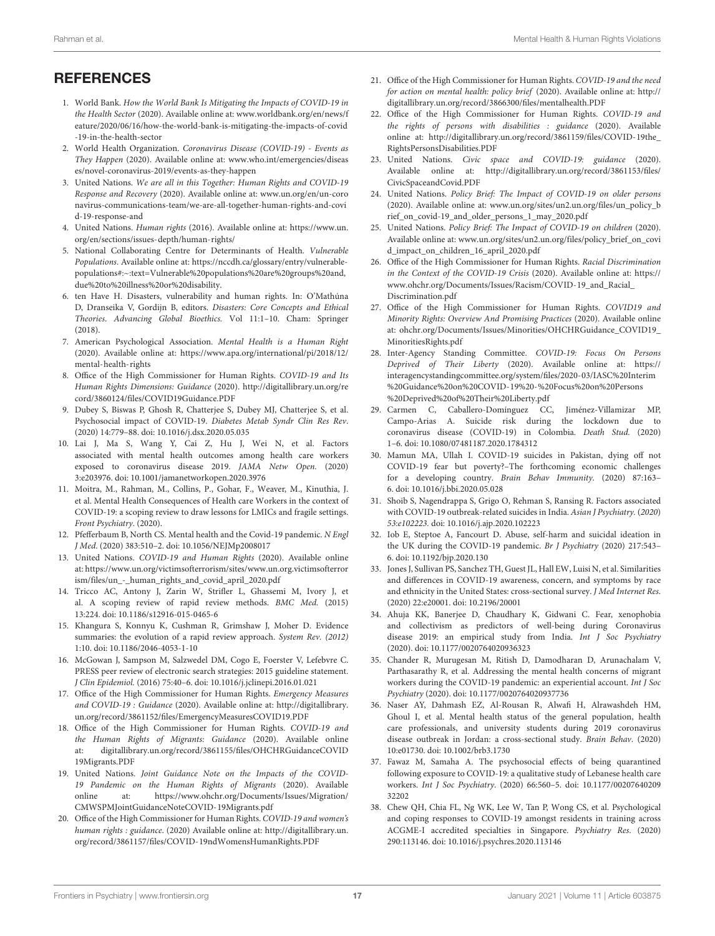## **REFERENCES**

- <span id="page-16-0"></span>1. World Bank. How the World Bank Is Mitigating the Impacts of COVID-19 in the Health Sector (2020). Available online at: www.worldbank.org/en/news/f [eature/2020/06/16/how-the-world-bank-is-mitigating-the-impacts-of-covid](http://www.worldbank.org/en/news/feature/2020/06/16/how-the-world-bank-is-mitigating-the-impacts-of-covid-19-in-the-health-sector) -19-in-the-health-sector
- <span id="page-16-1"></span>2. World Health Organization. Coronavirus Disease (COVID-19) - Events as They Happen [\(2020\). Available online at: www.who.int/emergencies/diseas](http://www.who.int/emergencies/diseases/novel-coronavirus-2019/events-as-they-happen) es/novel-coronavirus-2019/events-as-they-happen
- <span id="page-16-2"></span>3. United Nations. We are all in this Together: Human Rights and COVID-19 Response and Recovery (2020). Available online at: www.un.org/en/un-coro [navirus-communications-team/we-are-all-together-human-rights-and-covi](http://www.un.org/en/un-coronavirus-communications-team/we-are-all-together-human-rights-and-covid-19-response-and) d-19-response-and
- <span id="page-16-3"></span>4. United Nations. Human rights (2016). Available online at: [https://www.un.](https://www.un.org/en/sections/issues-depth/human-rights/) [org/en/sections/issues-depth/human-rights/](https://www.un.org/en/sections/issues-depth/human-rights/)
- <span id="page-16-4"></span>5. National Collaborating Centre for Determinants of Health. Vulnerable Populations. Available online at: [https://nccdh.ca/glossary/entry/vulnerable](https://nccdh.ca/glossary/entry/vulnerable-populations#:~:text=Vulnerable%20populations%20are%20groups%20and,due%20to%20illness%20or%20disability.)[populations#:~:text=Vulnerable%20populations%20are%20groups%20and,](https://nccdh.ca/glossary/entry/vulnerable-populations#:~:text=Vulnerable%20populations%20are%20groups%20and,due%20to%20illness%20or%20disability.) [due%20to%20illness%20or%20disability.](https://nccdh.ca/glossary/entry/vulnerable-populations#:~:text=Vulnerable%20populations%20are%20groups%20and,due%20to%20illness%20or%20disability.)
- <span id="page-16-5"></span>6. ten Have H. Disasters, vulnerability and human rights. In: O'Mathúna D, Dranseika V, Gordijn B, editors. Disasters: Core Concepts and Ethical Theories. Advancing Global Bioethics. Vol 11:1–10. Cham: Springer (2018).
- <span id="page-16-6"></span>7. American Psychological Association. Mental Health is a Human Right (2020). Available online at: [https://www.apa.org/international/pi/2018/12/](https://www.apa.org/international/pi/2018/12/mental-health-rights) [mental-health-rights](https://www.apa.org/international/pi/2018/12/mental-health-rights)
- <span id="page-16-28"></span><span id="page-16-27"></span><span id="page-16-7"></span>8. Office of the High Commissioner for Human Rights. COVID-19 and Its Human Rights Dimensions: Guidance (2020). http://digitallibrary.un.org/re [cord/3860124/files/COVID19Guidance.PDF](http://digitallibrary.un.org/record/3860124/files/COVID19Guidance.PDF)
- <span id="page-16-8"></span>9. Dubey S, Biswas P, Ghosh R, Chatterjee S, Dubey MJ, Chatterjee S, et al. Psychosocial impact of COVID-19. Diabetes Metab Syndr Clin Res Rev. (2020) 14:779–88. doi: [10.1016/j.dsx.2020.05.035](https://doi.org/10.1016/j.dsx.2020.05.035)
- 10. Lai J, Ma S, Wang Y, Cai Z, Hu J, Wei N, et al. Factors associated with mental health outcomes among health care workers exposed to coronavirus disease 2019. JAMA Netw Open. (2020) 3:e203976. doi: [10.1001/jamanetworkopen.2020.3976](https://doi.org/10.1001/jamanetworkopen.2020.3976)
- <span id="page-16-9"></span>11. Moitra, M., Rahman, M., Collins, P., Gohar, F., Weaver, M., Kinuthia, J. et al. Mental Health Consequences of Health care Workers in the context of COVID-19: a scoping review to draw lessons for LMICs and fragile settings. Front Psychiatry. (2020).
- <span id="page-16-10"></span>12. Pfefferbaum B, North CS. Mental health and the Covid-19 pandemic. N Engl J Med. (2020) 383:510–2. doi: [10.1056/NEJMp2008017](https://doi.org/10.1056/NEJMp2008017)
- <span id="page-16-11"></span>13. United Nations. COVID-19 and Human Rights (2020). Available online [at: https://www.un.org/victimsofterrorism/sites/www.un.org.victimsofterror](https://www.un.org/victimsofterrorism/sites/www.un.org.victimsofterrorism/files/un_-_human_rights_and_covid_april_2020.pdf) ism/files/un\_-\_human\_rights\_and\_covid\_april\_2020.pdf
- <span id="page-16-12"></span>14. Tricco AC, Antony J, Zarin W, Strifler L, Ghassemi M, Ivory J, et al. A scoping review of rapid review methods. BMC Med. (2015) 13:224. doi: [10.1186/s12916-015-0465-6](https://doi.org/10.1186/s12916-015-0465-6)
- <span id="page-16-13"></span>15. Khangura S, Konnyu K, Cushman R, Grimshaw J, Moher D. Evidence summaries: the evolution of a rapid review approach. System Rev. (2012) 1:10. doi: [10.1186/2046-4053-1-10](https://doi.org/10.1186/2046-4053-1-10)
- <span id="page-16-14"></span>16. McGowan J, Sampson M, Salzwedel DM, Cogo E, Foerster V, Lefebvre C. PRESS peer review of electronic search strategies: 2015 guideline statement. J Clin Epidemiol. (2016) 75:40–6. doi: [10.1016/j.jclinepi.2016.01.021](https://doi.org/10.1016/j.jclinepi.2016.01.021)
- <span id="page-16-29"></span>17. Office of the High Commissioner for Human Rights. Emergency Measures and COVID-19 : Guidance (2020). Available online at: [http://digitallibrary.](http://digitallibrary.un.org/record/3861152/files/EmergencyMeasuresCOVID19.PDF) [un.org/record/3861152/files/EmergencyMeasuresCOVID19.PDF](http://digitallibrary.un.org/record/3861152/files/EmergencyMeasuresCOVID19.PDF)
- <span id="page-16-30"></span>18. Office of the High Commissioner for Human Rights. COVID-19 and the Human Rights of Migrants: Guidance (2020). Available online [at: digitallibrary.un.org/record/3861155/files/OHCHRGuidanceCOVID](http://www.digitallibrary.un.org/record/3861155/files/OHCHRGuidanceCOVID19Migrants.PDF) 19Migrants.PDF
- <span id="page-16-31"></span>19. United Nations. Joint Guidance Note on the Impacts of the COVID-19 Pandemic on the Human Rights of Migrants (2020). Available online at: [https://www.ohchr.org/Documents/Issues/Migration/](https://www.ohchr.org/Documents/Issues/Migration/CMWSPMJointGuidanceNoteCOVID-19Migrants.pdf) [CMWSPMJointGuidanceNoteCOVID-19Migrants.pdf](https://www.ohchr.org/Documents/Issues/Migration/CMWSPMJointGuidanceNoteCOVID-19Migrants.pdf)
- <span id="page-16-32"></span>20. Office of the High Commissioner for Human Rights. COVID-19 and women's human rights : guidance. (2020) Available online at: [http://digitallibrary.un.](http://digitallibrary.un.org/record/3861157/files/COVID-19ndWomensHumanRights.PDF) [org/record/3861157/files/COVID-19ndWomensHumanRights.PDF](http://digitallibrary.un.org/record/3861157/files/COVID-19ndWomensHumanRights.PDF)
- <span id="page-16-33"></span>21. Office of the High Commissioner for Human Rights. COVID-19 and the need for action on mental health: policy brief (2020). Available online at: [http://](http://digitallibrary.un.org/record/3866300/files/mentalhealth.PDF) [digitallibrary.un.org/record/3866300/files/mentalhealth.PDF](http://digitallibrary.un.org/record/3866300/files/mentalhealth.PDF)
- <span id="page-16-34"></span>22. Office of the High Commissioner for Human Rights. COVID-19 and the rights of persons with disabilities : guidance (2020). Available online at: [http://digitallibrary.un.org/record/3861159/files/COVID-19the\\_](http://digitallibrary.un.org/record/3861159/files/COVID-19the_RightsPersonsDisabilities.PDF) [RightsPersonsDisabilities.PDF](http://digitallibrary.un.org/record/3861159/files/COVID-19the_RightsPersonsDisabilities.PDF)
- <span id="page-16-35"></span>23. United Nations. Civic space and COVID-19: guidance (2020). Available online at: [http://digitallibrary.un.org/record/3861153/files/](http://digitallibrary.un.org/record/3861153/files/CivicSpaceandCovid.PDF) [CivicSpaceandCovid.PDF](http://digitallibrary.un.org/record/3861153/files/CivicSpaceandCovid.PDF)
- <span id="page-16-36"></span>24. United Nations. Policy Brief: The Impact of COVID-19 on older persons [\(2020\). Available online at: www.un.org/sites/un2.un.org/files/un\\_policy\\_b](http://www.un.org/sites/un2.un.org/files/un_policy_brief_on_covid-19_and_older_persons_1_may_2020.pdf) rief\_on\_covid-19\_and\_older\_persons\_1\_may\_2020.pdf
- <span id="page-16-37"></span>25. United Nations. Policy Brief: The Impact of COVID-19 on children (2020). [Available online at: www.un.org/sites/un2.un.org/files/policy\\_brief\\_on\\_covi](http://www.un.org/sites/un2.un.org/files/policy_brief_on_covid_impact_on_children_16_april_2020.pdf) d\_impact\_on\_children\_16\_april\_2020.pdf
- <span id="page-16-38"></span>26. Office of the High Commissioner for Human Rights. Racial Discrimination in the Context of the COVID-19 Crisis (2020). Available online at: [https://](https://www.ohchr.org/Documents/Issues/Racism/COVID-19_and_Racial_Discrimination.pdf) [www.ohchr.org/Documents/Issues/Racism/COVID-19\\_and\\_Racial\\_](https://www.ohchr.org/Documents/Issues/Racism/COVID-19_and_Racial_Discrimination.pdf) [Discrimination.pdf](https://www.ohchr.org/Documents/Issues/Racism/COVID-19_and_Racial_Discrimination.pdf)
- <span id="page-16-39"></span>27. Office of the High Commissioner for Human Rights. COVID19 and Minority Rights: Overview And Promising Practices (2020). Available online [at: ohchr.org/Documents/Issues/Minorities/OHCHRGuidance\\_COVID19\\_](http://www.ohchr.org/Documents/Issues/Minorities/OHCHRGuidance_COVID19_MinoritiesRights.pdf) MinoritiesRights.pdf
- <span id="page-16-40"></span><span id="page-16-26"></span><span id="page-16-25"></span><span id="page-16-24"></span><span id="page-16-23"></span><span id="page-16-22"></span><span id="page-16-21"></span><span id="page-16-20"></span><span id="page-16-19"></span>28. Inter-Agency Standing Committee. COVID-19: Focus On Persons Deprived of Their Liberty (2020). Available online at: [https://](https://interagencystandingcommittee.org/system/files/2020-03/IASC%20Interim%20Guidance%20on%20COVID-19%20-%20Focus%20on%20Persons%20Deprived%20of%20Their%20Liberty.pdf) [interagencystandingcommittee.org/system/files/2020-03/IASC%20Interim](https://interagencystandingcommittee.org/system/files/2020-03/IASC%20Interim%20Guidance%20on%20COVID-19%20-%20Focus%20on%20Persons%20Deprived%20of%20Their%20Liberty.pdf) [%20Guidance%20on%20COVID-19%20-%20Focus%20on%20Persons](https://interagencystandingcommittee.org/system/files/2020-03/IASC%20Interim%20Guidance%20on%20COVID-19%20-%20Focus%20on%20Persons%20Deprived%20of%20Their%20Liberty.pdf) [%20Deprived%20of%20Their%20Liberty.pdf](https://interagencystandingcommittee.org/system/files/2020-03/IASC%20Interim%20Guidance%20on%20COVID-19%20-%20Focus%20on%20Persons%20Deprived%20of%20Their%20Liberty.pdf)
- <span id="page-16-15"></span>29. Carmen C, Caballero-Domínguez CC, Jiménez-Villamizar MP, Campo-Arias A. Suicide risk during the lockdown due to coronavirus disease (COVID-19) in Colombia. Death Stud. (2020) 1–6. doi: [10.1080/07481187.2020.1784312](https://doi.org/10.1080/07481187.2020.1784312)
- <span id="page-16-16"></span>30. Mamun MA, Ullah I. COVID-19 suicides in Pakistan, dying off not COVID-19 fear but poverty?–The forthcoming economic challenges for a developing country. Brain Behav Immunity. (2020) 87:163– 6. doi: [10.1016/j.bbi.2020.05.028](https://doi.org/10.1016/j.bbi.2020.05.028)
- <span id="page-16-17"></span>31. Shoib S, Nagendrappa S, Grigo O, Rehman S, Ransing R. Factors associated with COVID-19 outbreak-related suicides in India. Asian J Psychiatry. (2020) 53:e102223. doi: [10.1016/j.ajp.2020.102223](https://doi.org/10.1016/j.ajp.2020.102223)
- <span id="page-16-18"></span>32. Iob E, Steptoe A, Fancourt D. Abuse, self-harm and suicidal ideation in the UK during the COVID-19 pandemic. Br J Psychiatry (2020) 217:543– 6. doi: [10.1192/bjp.2020.130](https://doi.org/10.1192/bjp.2020.130)
- <span id="page-16-44"></span>33. Jones J, Sullivan PS, Sanchez TH, Guest JL, Hall EW, Luisi N, et al. Similarities and differences in COVID-19 awareness, concern, and symptoms by race and ethnicity in the United States: cross-sectional survey. J Med Internet Res. (2020) 22:e20001. doi: [10.2196/20001](https://doi.org/10.2196/20001)
- <span id="page-16-45"></span>34. Ahuja KK, Banerjee D, Chaudhary K, Gidwani C. Fear, xenophobia and collectivism as predictors of well-being during Coronavirus disease 2019: an empirical study from India. Int J Soc Psychiatry (2020). doi: [10.1177/0020764020936323](https://doi.org/10.1177/0020764020936323)
- <span id="page-16-46"></span>35. Chander R, Murugesan M, Ritish D, Damodharan D, Arunachalam V, Parthasarathy R, et al. Addressing the mental health concerns of migrant workers during the COVID-19 pandemic: an experiential account. Int J Soc Psychiatry (2020). doi: [10.1177/0020764020937736](https://doi.org/10.1177/0020764020937736)
- <span id="page-16-41"></span>36. Naser AY, Dahmash EZ, Al-Rousan R, Alwafi H, Alrawashdeh HM, Ghoul I, et al. Mental health status of the general population, health care professionals, and university students during 2019 coronavirus disease outbreak in Jordan: a cross-sectional study. Brain Behav. (2020) 10:e01730. doi: [10.1002/brb3.1730](https://doi.org/10.1002/brb3.1730)
- <span id="page-16-42"></span>37. Fawaz M, Samaha A. The psychosocial effects of being quarantined following exposure to COVID-19: a qualitative study of Lebanese health care workers. Int J Soc Psychiatry[. \(2020\) 66:560–5. doi: 10.1177/00207640209](https://doi.org/10.1177/0020764020932202) 32202
- <span id="page-16-43"></span>38. Chew QH, Chia FL, Ng WK, Lee W, Tan P, Wong CS, et al. Psychological and coping responses to COVID-19 amongst residents in training across ACGME-I accredited specialties in Singapore. Psychiatry Res. (2020) 290:113146. doi: [10.1016/j.psychres.2020.113146](https://doi.org/10.1016/j.psychres.2020.113146)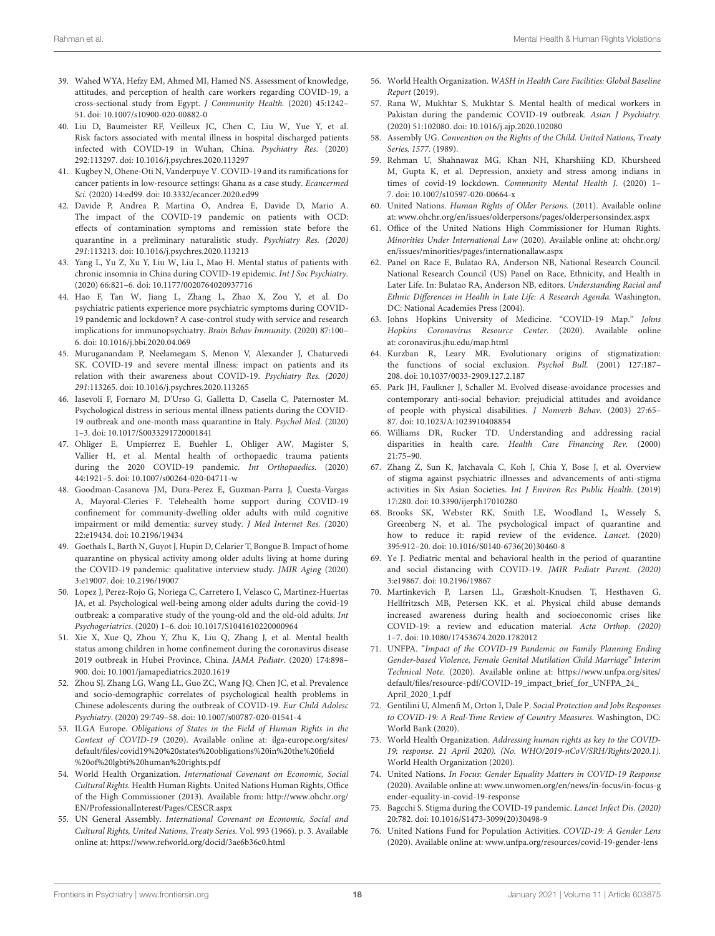- <span id="page-17-20"></span>39. Wahed WYA, Hefzy EM, Ahmed MI, Hamed NS. Assessment of knowledge, attitudes, and perception of health care workers regarding COVID-19, a cross-sectional study from Egypt. J Community Health. (2020) 45:1242– 51. doi: [10.1007/s10900-020-00882-0](https://doi.org/10.1007/s10900-020-00882-0)
- <span id="page-17-22"></span>40. Liu D, Baumeister RF, Veilleux JC, Chen C, Liu W, Yue Y, et al. Risk factors associated with mental illness in hospital discharged patients infected with COVID-19 in Wuhan, China. Psychiatry Res. (2020) 292:113297. doi: [10.1016/j.psychres.2020.113297](https://doi.org/10.1016/j.psychres.2020.113297)
- <span id="page-17-41"></span>41. Kugbey N, Ohene-Oti N, Vanderpuye V. COVID-19 and its ramifications for cancer patients in low-resource settings: Ghana as a case study. Ecancermed Sci. (2020) 14:ed99. doi: [10.3332/ecancer.2020.ed99](https://doi.org/10.3332/ecancer.2020.ed99)
- <span id="page-17-38"></span>42. Davide P, Andrea P, Martina O, Andrea E, Davide D, Mario A. The impact of the COVID-19 pandemic on patients with OCD: effects of contamination symptoms and remission state before the quarantine in a preliminary naturalistic study. Psychiatry Res. (2020) 291:113213. doi: [10.1016/j.psychres.2020.113213](https://doi.org/10.1016/j.psychres.2020.113213)
- <span id="page-17-40"></span>43. Yang L, Yu Z, Xu Y, Liu W, Liu L, Mao H. Mental status of patients with chronic insomnia in China during COVID-19 epidemic. Int J Soc Psychiatry. (2020) 66:821–6. doi: [10.1177/0020764020937716](https://doi.org/10.1177/0020764020937716)
- <span id="page-17-39"></span>44. Hao F, Tan W, Jiang L, Zhang L, Zhao X, Zou Y, et al. Do psychiatric patients experience more psychiatric symptoms during COVID-19 pandemic and lockdown? A case-control study with service and research implications for immunopsychiatry. Brain Behav Immunity. (2020) 87:100– 6. doi: [10.1016/j.bbi.2020.04.069](https://doi.org/10.1016/j.bbi.2020.04.069)
- <span id="page-17-34"></span>45. Muruganandam P, Neelamegam S, Menon V, Alexander J, Chaturvedi SK. COVID-19 and severe mental illness: impact on patients and its relation with their awareness about COVID-19. Psychiatry Res. (2020) 291:113265. doi: [10.1016/j.psychres.2020.113265](https://doi.org/10.1016/j.psychres.2020.113265)
- <span id="page-17-1"></span>46. Iasevoli F, Fornaro M, D'Urso G, Galletta D, Casella C, Paternoster M. Psychological distress in serious mental illness patients during the COVID-19 outbreak and one-month mass quarantine in Italy. Psychol Med. (2020) 1–3. doi: [10.1017/S0033291720001841](https://doi.org/10.1017/S0033291720001841)
- <span id="page-17-16"></span>47. Ohliger E, Umpierrez E, Buehler L, Ohliger AW, Magister S, Vallier H, et al. Mental health of orthopaedic trauma patients during the 2020 COVID-19 pandemic. Int Orthopaedics. (2020) 44:1921–5. doi: [10.1007/s00264-020-04711-w](https://doi.org/10.1007/s00264-020-04711-w)
- <span id="page-17-29"></span>48. Goodman-Casanova JM, Dura-Perez E, Guzman-Parra J, Cuesta-Vargas A, Mayoral-Cleries F. Telehealth home support during COVID-19 confinement for community-dwelling older adults with mild cognitive impairment or mild dementia: survey study. J Med Internet Res. (2020) 22:e19434. doi: [10.2196/19434](https://doi.org/10.2196/19434)
- <span id="page-17-28"></span>49. Goethals L, Barth N, Guyot J, Hupin D, Celarier T, Bongue B. Impact of home quarantine on physical activity among older adults living at home during the COVID-19 pandemic: qualitative interview study. JMIR Aging (2020) 3:e19007. doi: [10.2196/19007](https://doi.org/10.2196/19007)
- <span id="page-17-30"></span>50. Lopez J, Perez-Rojo G, Noriega C, Carretero I, Velasco C, Martinez-Huertas JA, et al. Psychological well-being among older adults during the covid-19 outbreak: a comparative study of the young-old and the old-old adults. Int Psychogeriatrics. (2020) 1–6. doi: [10.1017/S1041610220000964](https://doi.org/10.1017/S1041610220000964)
- <span id="page-17-24"></span>51. Xie X, Xue Q, Zhou Y, Zhu K, Liu Q, Zhang J, et al. Mental health status among children in home confinement during the coronavirus disease 2019 outbreak in Hubei Province, China. JAMA Pediatr. (2020) 174:898– 900. doi: [10.1001/jamapediatrics.2020.1619](https://doi.org/10.1001/jamapediatrics.2020.1619)
- <span id="page-17-25"></span>52. Zhou SJ, Zhang LG, Wang LL, Guo ZC, Wang JQ, Chen JC, et al. Prevalence and socio-demographic correlates of psychological health problems in Chinese adolescents during the outbreak of COVID-19. Eur Child Adolesc Psychiatry. (2020) 29:749–58. doi: [10.1007/s00787-020-01541-4](https://doi.org/10.1007/s00787-020-01541-4)
- <span id="page-17-0"></span>53. ILGA Europe. Obligations of States in the Field of Human Rights in the Context of COVID-19 (2020). Available online at: ilga-europe.org/sites/ [default/files/covid19%20%20states%20obligations%20in%20the%20field](http://ilga-europe.org/sites/default/files/covid19%20%20states%20obligations%20in%20the%20field%20of%20lgbti%20human%20rights.pdf) %20of%20lgbti%20human%20rights.pdf
- <span id="page-17-17"></span>54. World Health Organization. International Covenant on Economic, Social Cultural Rights. Health Human Rights. United Nations Human Rights, Office of the High Commissioner (2013). Available from: [http://www.ohchr.org/](http://www.ohchr.org/EN/ProfessionalInterest/Pages/CESCR.aspx) [EN/ProfessionalInterest/Pages/CESCR.aspx](http://www.ohchr.org/EN/ProfessionalInterest/Pages/CESCR.aspx)
- <span id="page-17-18"></span>55. UN General Assembly. International Covenant on Economic, Social and Cultural Rights, United Nations, Treaty Series. Vol. 993 (1966). p. 3. Available online at:<https://www.refworld.org/docid/3ae6b36c0.html>
- <span id="page-17-19"></span><span id="page-17-15"></span><span id="page-17-14"></span><span id="page-17-13"></span><span id="page-17-12"></span><span id="page-17-11"></span><span id="page-17-10"></span><span id="page-17-9"></span><span id="page-17-8"></span><span id="page-17-7"></span><span id="page-17-6"></span><span id="page-17-5"></span><span id="page-17-4"></span><span id="page-17-3"></span><span id="page-17-2"></span>56. World Health Organization. WASH in Health Care Facilities: Global Baseline Report (2019).
- <span id="page-17-21"></span>57. Rana W, Mukhtar S, Mukhtar S. Mental health of medical workers in Pakistan during the pandemic COVID-19 outbreak. Asian J Psychiatry. (2020) 51:102080. doi: [10.1016/j.ajp.2020.102080](https://doi.org/10.1016/j.ajp.2020.102080)
- <span id="page-17-23"></span>58. Assembly UG. Convention on the Rights of the Child. United Nations, Treaty Series, 1577. (1989).
- <span id="page-17-26"></span>59. Rehman U, Shahnawaz MG, Khan NH, Kharshiing KD, Khursheed M, Gupta K, et al. Depression, anxiety and stress among indians in times of covid-19 lockdown. Community Mental Health J. (2020) 1– 7. doi: [10.1007/s10597-020-00664-x](https://doi.org/10.1007/s10597-020-00664-x)
- <span id="page-17-27"></span>60. United Nations. Human Rights of Older Persons. (2011). Available online at: [www.ohchr.org/en/issues/olderpersons/pages/olderpersonsindex.aspx](http://www.ohchr.org/en/issues/olderpersons/pages/olderpersonsindex.aspx)
- <span id="page-17-31"></span>61. Office of the United Nations High Commissioner for Human Rights. Minorities Under International Law (2020). Available online at: ohchr.org/ [en/issues/minorities/pages/internationallaw.aspx](http://www.ohchr.org/en/issues/minorities/pages/internationallaw.aspx)
- <span id="page-17-32"></span>62. Panel on Race E, Bulatao RA, Anderson NB, National Research Council. National Research Council (US) Panel on Race, Ethnicity, and Health in Later Life. In: Bulatao RA, Anderson NB, editors. Understanding Racial and Ethnic Differences in Health in Late Life: A Research Agenda. Washington, DC: National Academies Press (2004).
- <span id="page-17-33"></span>63. Johns Hopkins University of Medicine. "COVID-19 Map." Johns Hopkins Coronavirus Resource Center. (2020). Available online at: coronavirus.jhu.edu/map.html
- <span id="page-17-35"></span>64. Kurzban R, Leary MR. Evolutionary origins of stigmatization: the functions of social exclusion. Psychol Bull. (2001) 127:187– 208. doi: [10.1037/0033-2909.127.2.187](https://doi.org/10.1037/0033-2909.127.2.187)
- <span id="page-17-36"></span>65. Park JH, Faulkner J, Schaller M. Evolved disease-avoidance processes and contemporary anti-social behavior: prejudicial attitudes and avoidance of people with physical disabilities. J Nonverb Behav. (2003) 27:65– 87. doi: [10.1023/A:1023910408854](https://doi.org/10.1023/A:1023910408854)
- <span id="page-17-37"></span>66. Williams DR, Rucker TD. Understanding and addressing racial disparities in health care. Health Care Financing Rev. (2000) 21:75–90.
- <span id="page-17-42"></span>67. Zhang Z, Sun K, Jatchavala C, Koh J, Chia Y, Bose J, et al. Overview of stigma against psychiatric illnesses and advancements of anti-stigma activities in Six Asian Societies. Int J Environ Res Public Health. (2019) 17:280. doi: [10.3390/ijerph17010280](https://doi.org/10.3390/ijerph17010280)
- <span id="page-17-43"></span>68. Brooks SK, Webster RK, Smith LE, Woodland L, Wessely S, Greenberg N, et al. The psychological impact of quarantine and how to reduce it: rapid review of the evidence. Lancet. (2020) 395:912–20. doi: [10.1016/S0140-6736\(20\)30460-8](https://doi.org/10.1016/S0140-6736(20)30460-8)
- <span id="page-17-44"></span>69. Ye J. Pediatric mental and behavioral health in the period of quarantine and social distancing with COVID-19. JMIR Pediatr Parent. (2020) 3:e19867. doi: [10.2196/19867](https://doi.org/10.2196/19867)
- <span id="page-17-45"></span>70. Martinkevich P, Larsen LL, Græsholt-Knudsen T, Hesthaven G, Hellfritzsch MB, Petersen KK, et al. Physical child abuse demands increased awareness during health and socioeconomic crises like COVID-19: a review and education material. Acta Orthop. (2020) 1–7. doi: [10.1080/17453674.2020.1782012](https://doi.org/10.1080/17453674.2020.1782012)
- <span id="page-17-46"></span>71. UNFPA. "Impact of the COVID-19 Pandemic on Family Planning Ending Gender-based Violence, Female Genital Mutilation Child Marriage" Interim Technical Note. (2020). Available online at: [https://www.unfpa.org/sites/](https://www.unfpa.org/sites/default/files/resource-pdf/COVID-19_impact_brief_for_UNFPA_24_April_2020_1.pdf) [default/files/resource-pdf/COVID-19\\_impact\\_brief\\_for\\_UNFPA\\_24\\_](https://www.unfpa.org/sites/default/files/resource-pdf/COVID-19_impact_brief_for_UNFPA_24_April_2020_1.pdf) [April\\_2020\\_1.pdf](https://www.unfpa.org/sites/default/files/resource-pdf/COVID-19_impact_brief_for_UNFPA_24_April_2020_1.pdf)
- <span id="page-17-47"></span>72. Gentilini U, Almenfi M, Orton I, Dale P. Social Protection and Jobs Responses to COVID-19: A Real-Time Review of Country Measures. Washington, DC: World Bank (2020).
- <span id="page-17-48"></span>73. World Health Organization. Addressing human rights as key to the COVID-19: response. 21 April 2020). (No. WHO/2019-nCoV/SRH/Rights/2020.1). World Health Organization (2020).
- <span id="page-17-49"></span>74. United Nations. In Focus: Gender Equality Matters in COVID-19 Response [\(2020\). Available online at: www.unwomen.org/en/news/in-focus/in-focus-g](http://www.unwomen.org/en/news/in-focus/in-focus-gender-equality-in-covid-19-response) ender-equality-in-covid-19-response
- <span id="page-17-50"></span>75. Bagcchi S. Stigma during the COVID-19 pandemic. Lancet Infect Dis. (2020) 20:782. doi: [10.1016/S1473-3099\(20\)30498-9](https://doi.org/10.1016/S1473-3099(20)30498-9)
- <span id="page-17-51"></span>76. United Nations Fund for Population Activities. COVID-19: A Gender Lens (2020). Available online at: [www.unfpa.org/resources/covid-19-gender-lens](http://www.unfpa.org/resources/covid-19-gender-lens)